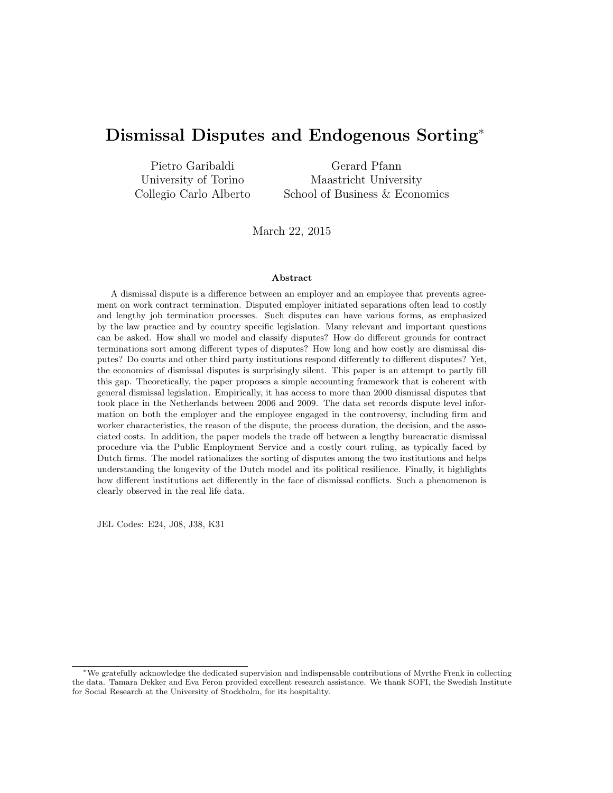# Dismissal Disputes and Endogenous Sorting<sup>∗</sup>

| Pietro Garibaldi       | Gerard Pfann                   |
|------------------------|--------------------------------|
| University of Torino   | Maastricht University          |
| Collegio Carlo Alberto | School of Business & Economics |

March 22, 2015

#### Abstract

A dismissal dispute is a difference between an employer and an employee that prevents agreement on work contract termination. Disputed employer initiated separations often lead to costly and lengthy job termination processes. Such disputes can have various forms, as emphasized by the law practice and by country specific legislation. Many relevant and important questions can be asked. How shall we model and classify disputes? How do different grounds for contract terminations sort among different types of disputes? How long and how costly are dismissal disputes? Do courts and other third party institutions respond differently to different disputes? Yet, the economics of dismissal disputes is surprisingly silent. This paper is an attempt to partly fill this gap. Theoretically, the paper proposes a simple accounting framework that is coherent with general dismissal legislation. Empirically, it has access to more than 2000 dismissal disputes that took place in the Netherlands between 2006 and 2009. The data set records dispute level information on both the employer and the employee engaged in the controversy, including firm and worker characteristics, the reason of the dispute, the process duration, the decision, and the associated costs. In addition, the paper models the trade off between a lengthy bureacratic dismissal procedure via the Public Employment Service and a costly court ruling, as typically faced by Dutch firms. The model rationalizes the sorting of disputes among the two institutions and helps understanding the longevity of the Dutch model and its political resilience. Finally, it highlights how different institutions act differently in the face of dismissal conflicts. Such a phenomenon is clearly observed in the real life data.

JEL Codes: E24, J08, J38, K31

<sup>∗</sup>We gratefully acknowledge the dedicated supervision and indispensable contributions of Myrthe Frenk in collecting the data. Tamara Dekker and Eva Feron provided excellent research assistance. We thank SOFI, the Swedish Institute for Social Research at the University of Stockholm, for its hospitality.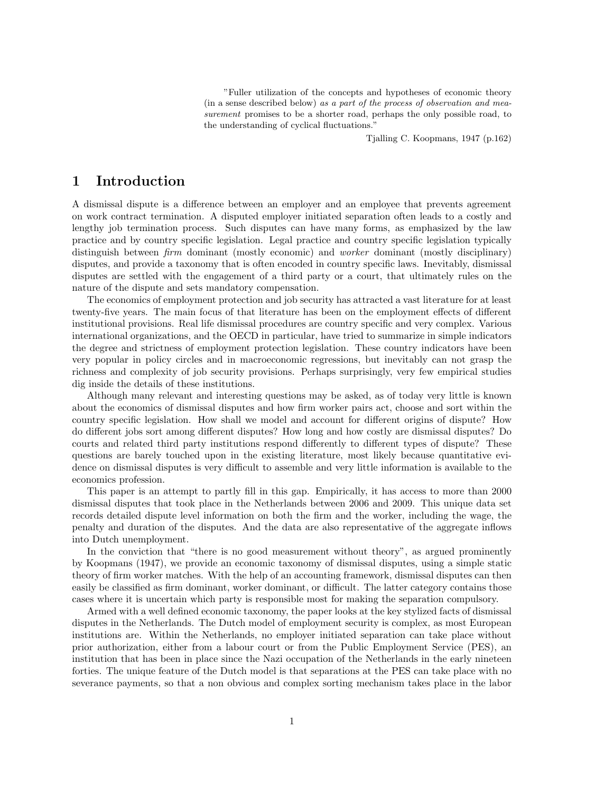"Fuller utilization of the concepts and hypotheses of economic theory (in a sense described below) as a part of the process of observation and measurement promises to be a shorter road, perhaps the only possible road, to the understanding of cyclical fluctuations."

Tjalling C. Koopmans, 1947 (p.162)

## 1 Introduction

A dismissal dispute is a difference between an employer and an employee that prevents agreement on work contract termination. A disputed employer initiated separation often leads to a costly and lengthy job termination process. Such disputes can have many forms, as emphasized by the law practice and by country specific legislation. Legal practice and country specific legislation typically distinguish between *firm* dominant (mostly economic) and *worker* dominant (mostly disciplinary) disputes, and provide a taxonomy that is often encoded in country specific laws. Inevitably, dismissal disputes are settled with the engagement of a third party or a court, that ultimately rules on the nature of the dispute and sets mandatory compensation.

The economics of employment protection and job security has attracted a vast literature for at least twenty-five years. The main focus of that literature has been on the employment effects of different institutional provisions. Real life dismissal procedures are country specific and very complex. Various international organizations, and the OECD in particular, have tried to summarize in simple indicators the degree and strictness of employment protection legislation. These country indicators have been very popular in policy circles and in macroeconomic regressions, but inevitably can not grasp the richness and complexity of job security provisions. Perhaps surprisingly, very few empirical studies dig inside the details of these institutions.

Although many relevant and interesting questions may be asked, as of today very little is known about the economics of dismissal disputes and how firm worker pairs act, choose and sort within the country specific legislation. How shall we model and account for different origins of dispute? How do different jobs sort among different disputes? How long and how costly are dismissal disputes? Do courts and related third party institutions respond differently to different types of dispute? These questions are barely touched upon in the existing literature, most likely because quantitative evidence on dismissal disputes is very difficult to assemble and very little information is available to the economics profession.

This paper is an attempt to partly fill in this gap. Empirically, it has access to more than 2000 dismissal disputes that took place in the Netherlands between 2006 and 2009. This unique data set records detailed dispute level information on both the firm and the worker, including the wage, the penalty and duration of the disputes. And the data are also representative of the aggregate inflows into Dutch unemployment.

In the conviction that "there is no good measurement without theory", as argued prominently by Koopmans (1947), we provide an economic taxonomy of dismissal disputes, using a simple static theory of firm worker matches. With the help of an accounting framework, dismissal disputes can then easily be classified as firm dominant, worker dominant, or difficult. The latter category contains those cases where it is uncertain which party is responsible most for making the separation compulsory.

Armed with a well defined economic taxonomy, the paper looks at the key stylized facts of dismissal disputes in the Netherlands. The Dutch model of employment security is complex, as most European institutions are. Within the Netherlands, no employer initiated separation can take place without prior authorization, either from a labour court or from the Public Employment Service (PES), an institution that has been in place since the Nazi occupation of the Netherlands in the early nineteen forties. The unique feature of the Dutch model is that separations at the PES can take place with no severance payments, so that a non obvious and complex sorting mechanism takes place in the labor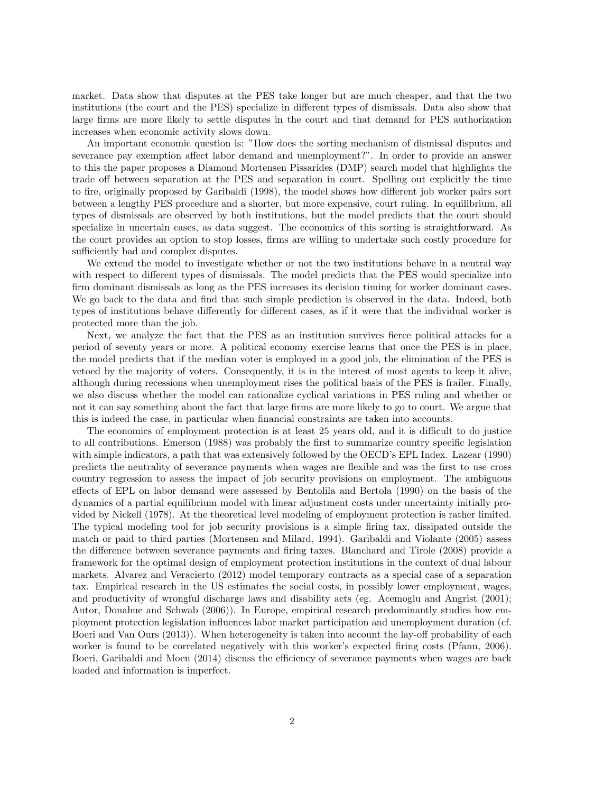market. Data show that disputes at the PES take longer but are much cheaper, and that the two institutions (the court and the PES) specialize in different types of dismissals. Data also show that large firms are more likely to settle disputes in the court and that demand for PES authorization increases when economic activity slows down.

An important economic question is: "How does the sorting mechanism of dismissal disputes and severance pay exemption affect labor demand and unemployment?". In order to provide an answer to this the paper proposes a Diamond Mortensen Pissarides (DMP) search model that highlights the trade off between separation at the PES and separation in court. Spelling out explicitly the time to fire, originally proposed by Garibaldi (1998), the model shows how different job worker pairs sort between a lengthy PES procedure and a shorter, but more expensive, court ruling. In equilibrium, all types of dismissals are observed by both institutions, but the model predicts that the court should specialize in uncertain cases, as data suggest. The economics of this sorting is straightforward. As the court provides an option to stop losses, firms are willing to undertake such costly procedure for sufficiently bad and complex disputes.

We extend the model to investigate whether or not the two institutions behave in a neutral way with respect to different types of dismissals. The model predicts that the PES would specialize into firm dominant dismissals as long as the PES increases its decision timing for worker dominant cases. We go back to the data and find that such simple prediction is observed in the data. Indeed, both types of institutions behave differently for different cases, as if it were that the individual worker is protected more than the job.

Next, we analyze the fact that the PES as an institution survives fierce political attacks for a period of seventy years or more. A political economy exercise learns that once the PES is in place, the model predicts that if the median voter is employed in a good job, the elimination of the PES is vetoed by the majority of voters. Consequently, it is in the interest of most agents to keep it alive, although during recessions when unemployment rises the political basis of the PES is frailer. Finally, we also discuss whether the model can rationalize cyclical variations in PES ruling and whether or not it can say something about the fact that large firms are more likely to go to court. We argue that this is indeed the case, in particular when financial constraints are taken into accounts.

The economics of employment protection is at least 25 years old, and it is difficult to do justice to all contributions. Emerson (1988) was probably the first to summarize country specific legislation with simple indicators, a path that was extensively followed by the OECD's EPL Index. Lazear (1990) predicts the neutrality of severance payments when wages are flexible and was the first to use cross country regression to assess the impact of job security provisions on employment. The ambiguous effects of EPL on labor demand were assessed by Bentolila and Bertola (1990) on the basis of the dynamics of a partial equilibrium model with linear adjustment costs under uncertainty initially provided by Nickell (1978). At the theoretical level modeling of employment protection is rather limited. The typical modeling tool for job security provisions is a simple firing tax, dissipated outside the match or paid to third parties (Mortensen and Milard, 1994). Garibaldi and Violante (2005) assess the difference between severance payments and firing taxes. Blanchard and Tirole (2008) provide a framework for the optimal design of employment protection institutions in the context of dual labour markets. Alvarez and Veracierto (2012) model temporary contracts as a special case of a separation tax. Empirical research in the US estimates the social costs, in possibly lower employment, wages, and productivity of wrongful discharge laws and disability acts (eg. Acemoglu and Angrist (2001); Autor, Donahue and Schwab (2006)). In Europe, empirical research predominantly studies how employment protection legislation influences labor market participation and unemployment duration (cf. Boeri and Van Ours (2013)). When heterogeneity is taken into account the lay-off probability of each worker is found to be correlated negatively with this worker's expected firing costs (Pfann, 2006). Boeri, Garibaldi and Moen (2014) discuss the efficiency of severance payments when wages are back loaded and information is imperfect.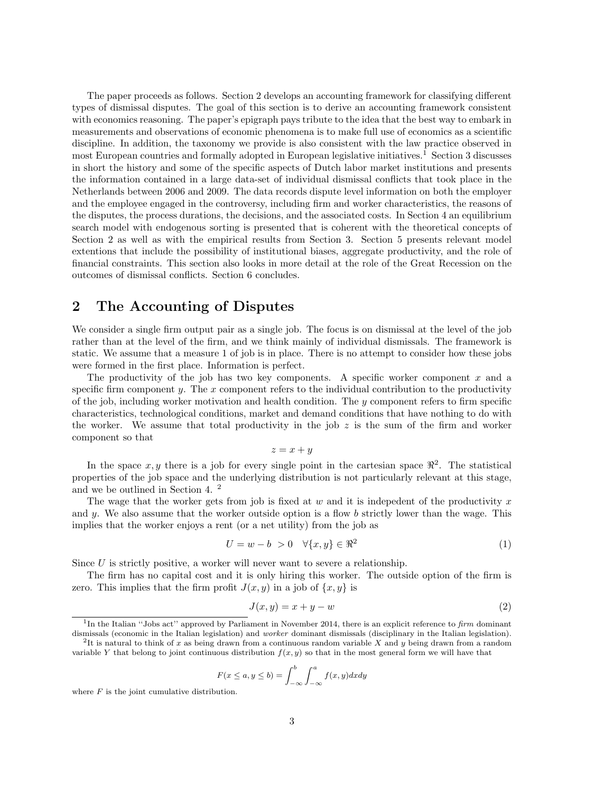The paper proceeds as follows. Section 2 develops an accounting framework for classifying different types of dismissal disputes. The goal of this section is to derive an accounting framework consistent with economics reasoning. The paper's epigraph pays tribute to the idea that the best way to embark in measurements and observations of economic phenomena is to make full use of economics as a scientific discipline. In addition, the taxonomy we provide is also consistent with the law practice observed in most European countries and formally adopted in European legislative initiatives.<sup>1</sup> Section 3 discusses in short the history and some of the specific aspects of Dutch labor market institutions and presents the information contained in a large data-set of individual dismissal conflicts that took place in the Netherlands between 2006 and 2009. The data records dispute level information on both the employer and the employee engaged in the controversy, including firm and worker characteristics, the reasons of the disputes, the process durations, the decisions, and the associated costs. In Section 4 an equilibrium search model with endogenous sorting is presented that is coherent with the theoretical concepts of Section 2 as well as with the empirical results from Section 3. Section 5 presents relevant model extentions that include the possibility of institutional biases, aggregate productivity, and the role of financial constraints. This section also looks in more detail at the role of the Great Recession on the outcomes of dismissal conflicts. Section 6 concludes.

## 2 The Accounting of Disputes

We consider a single firm output pair as a single job. The focus is on dismissal at the level of the job rather than at the level of the firm, and we think mainly of individual dismissals. The framework is static. We assume that a measure 1 of job is in place. There is no attempt to consider how these jobs were formed in the first place. Information is perfect.

The productivity of the job has two key components. A specific worker component  $x$  and a specific firm component  $y$ . The  $x$  component refers to the individual contribution to the productivity of the job, including worker motivation and health condition. The y component refers to firm specific characteristics, technological conditions, market and demand conditions that have nothing to do with the worker. We assume that total productivity in the job  $z$  is the sum of the firm and worker component so that

$$
z = x + y
$$

In the space  $x, y$  there is a job for every single point in the cartesian space  $\mathbb{R}^2$ . The statistical properties of the job space and the underlying distribution is not particularly relevant at this stage, and we be outlined in Section 4. <sup>2</sup>

The wage that the worker gets from job is fixed at  $w$  and it is indepedent of the productivity  $x$ and y. We also assume that the worker outside option is a flow b strictly lower than the wage. This implies that the worker enjoys a rent (or a net utility) from the job as

$$
U = w - b > 0 \quad \forall \{x, y\} \in \mathbb{R}^2 \tag{1}
$$

Since  $U$  is strictly positive, a worker will never want to severe a relationship.

The firm has no capital cost and it is only hiring this worker. The outside option of the firm is zero. This implies that the firm profit  $J(x, y)$  in a job of  $\{x, y\}$  is

$$
J(x, y) = x + y - w \tag{2}
$$

$$
F(x \le a, y \le b) = \int_{-\infty}^{b} \int_{-\infty}^{a} f(x, y) dx dy
$$

where  $F$  is the joint cumulative distribution.

<sup>&</sup>lt;sup>1</sup>In the Italian "Jobs act" approved by Parliament in November 2014, there is an explicit reference to firm dominant dismissals (economic in the Italian legislation) and worker dominant dismissals (disciplinary in the Italian legislation).

<sup>&</sup>lt;sup>2</sup>It is natural to think of x as being drawn from a continuous random variable X and y being drawn from a random variable Y that belong to joint continuous distribution  $f(x, y)$  so that in the most general form we will have that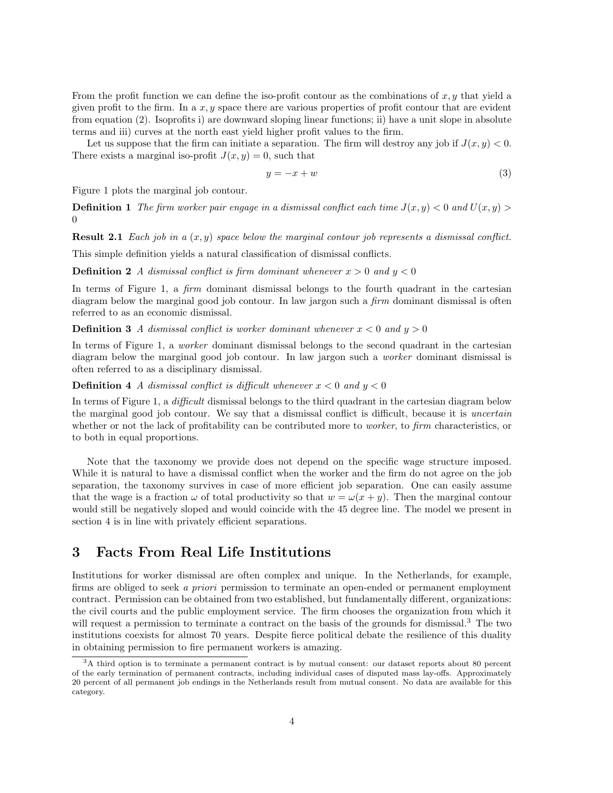From the profit function we can define the iso-profit contour as the combinations of  $x, y$  that yield a given profit to the firm. In a  $x, y$  space there are various properties of profit contour that are evident from equation (2). Isoprofits i) are downward sloping linear functions; ii) have a unit slope in absolute terms and iii) curves at the north east yield higher profit values to the firm.

Let us suppose that the firm can initiate a separation. The firm will destroy any job if  $J(x, y) < 0$ . There exists a marginal iso-profit  $J(x, y) = 0$ , such that

$$
y = -x + w \tag{3}
$$

Figure 1 plots the marginal job contour.

**Definition 1** The firm worker pair engage in a dismissal conflict each time  $J(x, y) < 0$  and  $U(x, y) > 0$ 0

**Result 2.1** Each job in a  $(x, y)$  space below the marginal contour job represents a dismissal conflict.

This simple definition yields a natural classification of dismissal conflicts.

**Definition 2** A dismissal conflict is firm dominant whenever  $x > 0$  and  $y < 0$ 

In terms of Figure 1, a *firm* dominant dismissal belongs to the fourth quadrant in the cartesian diagram below the marginal good job contour. In law jargon such a *firm* dominant dismissal is often referred to as an economic dismissal.

**Definition 3** A dismissal conflict is worker dominant whenever  $x < 0$  and  $y > 0$ 

In terms of Figure 1, a worker dominant dismissal belongs to the second quadrant in the cartesian diagram below the marginal good job contour. In law jargon such a worker dominant dismissal is often referred to as a disciplinary dismissal.

**Definition 4** A dismissal conflict is difficult whenever  $x < 0$  and  $y < 0$ 

In terms of Figure 1, a difficult dismissal belongs to the third quadrant in the cartesian diagram below the marginal good job contour. We say that a dismissal conflict is difficult, because it is uncertain whether or not the lack of profitability can be contributed more to *worker*, to firm characteristics, or to both in equal proportions.

Note that the taxonomy we provide does not depend on the specific wage structure imposed. While it is natural to have a dismissal conflict when the worker and the firm do not agree on the job separation, the taxonomy survives in case of more efficient job separation. One can easily assume that the wage is a fraction  $\omega$  of total productivity so that  $w = \omega(x + y)$ . Then the marginal contour would still be negatively sloped and would coincide with the 45 degree line. The model we present in section 4 is in line with privately efficient separations.

## 3 Facts From Real Life Institutions

Institutions for worker dismissal are often complex and unique. In the Netherlands, for example, firms are obliged to seek a priori permission to terminate an open-ended or permanent employment contract. Permission can be obtained from two established, but fundamentally different, organizations: the civil courts and the public employment service. The firm chooses the organization from which it will request a permission to terminate a contract on the basis of the grounds for dismissal.<sup>3</sup> The two institutions coexists for almost 70 years. Despite fierce political debate the resilience of this duality in obtaining permission to fire permanent workers is amazing.

<sup>3</sup>A third option is to terminate a permanent contract is by mutual consent: our dataset reports about 80 percent of the early termination of permanent contracts, including individual cases of disputed mass lay-offs. Approximately 20 percent of all permanent job endings in the Netherlands result from mutual consent. No data are available for this category.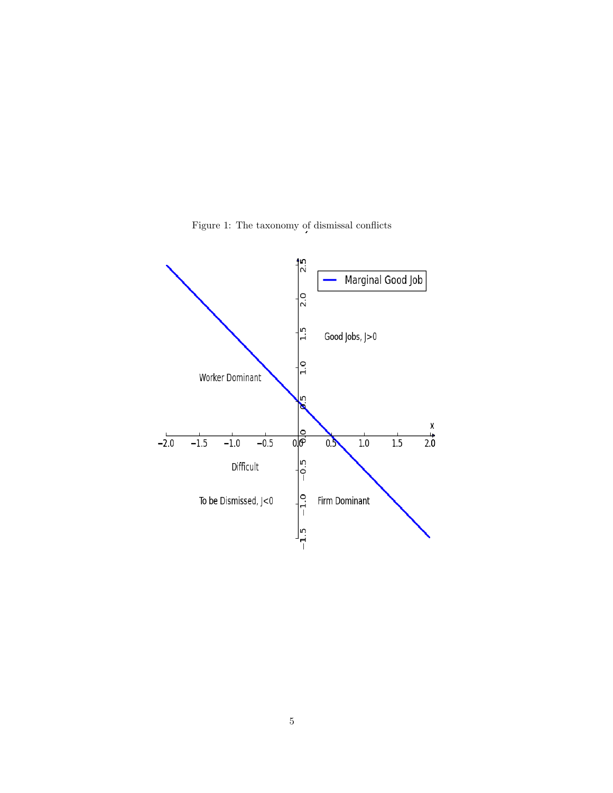

Figure 1: The taxonomy of dismissal conflicts  $\overline{\phantom{a}}$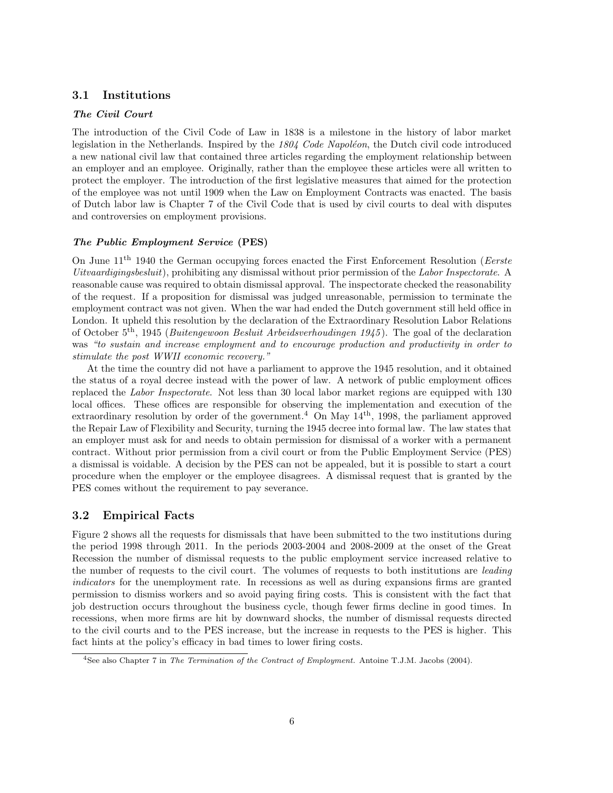### 3.1 Institutions

### The Civil Court

The introduction of the Civil Code of Law in 1838 is a milestone in the history of labor market legislation in the Netherlands. Inspired by the  $1804$  Code Napoléon, the Dutch civil code introduced a new national civil law that contained three articles regarding the employment relationship between an employer and an employee. Originally, rather than the employee these articles were all written to protect the employer. The introduction of the first legislative measures that aimed for the protection of the employee was not until 1909 when the Law on Employment Contracts was enacted. The basis of Dutch labor law is Chapter 7 of the Civil Code that is used by civil courts to deal with disputes and controversies on employment provisions.

#### The Public Employment Service (PES)

On June  $11<sup>th</sup> 1940$  the German occupying forces enacted the First Enforcement Resolution (*Eerste* Uitvaardigingsbesluit), prohibiting any dismissal without prior permission of the Labor Inspectorate. A reasonable cause was required to obtain dismissal approval. The inspectorate checked the reasonability of the request. If a proposition for dismissal was judged unreasonable, permission to terminate the employment contract was not given. When the war had ended the Dutch government still held office in London. It upheld this resolution by the declaration of the Extraordinary Resolution Labor Relations of October  $5<sup>th</sup>$ , 1945 (Buitengewoon Besluit Arbeidsverhoudingen 1945). The goal of the declaration was "to sustain and increase employment and to encourage production and productivity in order to stimulate the post WWII economic recovery."

At the time the country did not have a parliament to approve the 1945 resolution, and it obtained the status of a royal decree instead with the power of law. A network of public employment offices replaced the Labor Inspectorate. Not less than 30 local labor market regions are equipped with 130 local offices. These offices are responsible for observing the implementation and execution of the extraordinary resolution by order of the government.<sup>4</sup> On May  $14<sup>th</sup>$ , 1998, the parliament approved the Repair Law of Flexibility and Security, turning the 1945 decree into formal law. The law states that an employer must ask for and needs to obtain permission for dismissal of a worker with a permanent contract. Without prior permission from a civil court or from the Public Employment Service (PES) a dismissal is voidable. A decision by the PES can not be appealed, but it is possible to start a court procedure when the employer or the employee disagrees. A dismissal request that is granted by the PES comes without the requirement to pay severance.

#### 3.2 Empirical Facts

Figure 2 shows all the requests for dismissals that have been submitted to the two institutions during the period 1998 through 2011. In the periods 2003-2004 and 2008-2009 at the onset of the Great Recession the number of dismissal requests to the public employment service increased relative to the number of requests to the civil court. The volumes of requests to both institutions are *leading* indicators for the unemployment rate. In recessions as well as during expansions firms are granted permission to dismiss workers and so avoid paying firing costs. This is consistent with the fact that job destruction occurs throughout the business cycle, though fewer firms decline in good times. In recessions, when more firms are hit by downward shocks, the number of dismissal requests directed to the civil courts and to the PES increase, but the increase in requests to the PES is higher. This fact hints at the policy's efficacy in bad times to lower firing costs.

<sup>&</sup>lt;sup>4</sup>See also Chapter 7 in The Termination of the Contract of Employment. Antoine T.J.M. Jacobs (2004).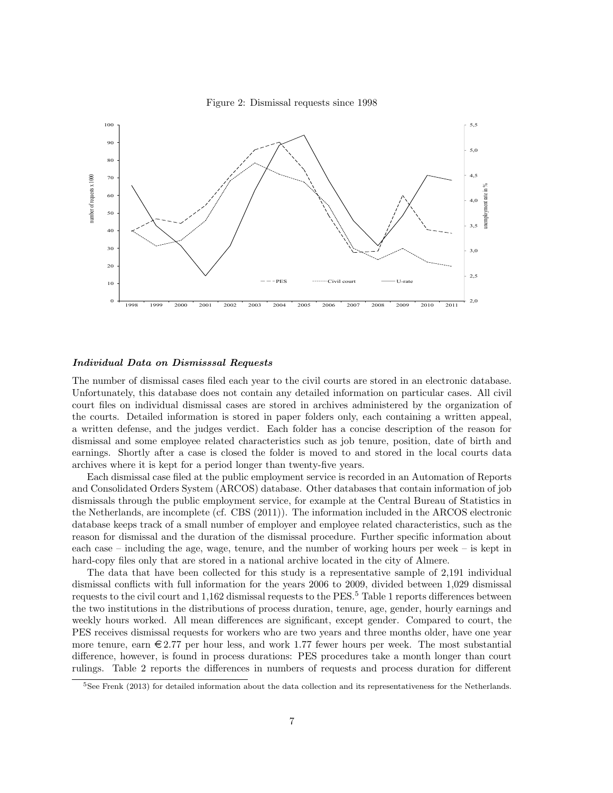



#### Individual Data on Dismisssal Requests

The number of dismissal cases filed each year to the civil courts are stored in an electronic database. Unfortunately, this database does not contain any detailed information on particular cases. All civil court files on individual dismissal cases are stored in archives administered by the organization of the courts. Detailed information is stored in paper folders only, each containing a written appeal, a written defense, and the judges verdict. Each folder has a concise description of the reason for dismissal and some employee related characteristics such as job tenure, position, date of birth and earnings. Shortly after a case is closed the folder is moved to and stored in the local courts data archives where it is kept for a period longer than twenty-five years.

Each dismissal case filed at the public employment service is recorded in an Automation of Reports and Consolidated Orders System (ARCOS) database. Other databases that contain information of job dismissals through the public employment service, for example at the Central Bureau of Statistics in the Netherlands, are incomplete (cf. CBS (2011)). The information included in the ARCOS electronic database keeps track of a small number of employer and employee related characteristics, such as the reason for dismissal and the duration of the dismissal procedure. Further specific information about each case – including the age, wage, tenure, and the number of working hours per week – is kept in hard-copy files only that are stored in a national archive located in the city of Almere.

The data that have been collected for this study is a representative sample of 2,191 individual dismissal conflicts with full information for the years 2006 to 2009, divided between 1,029 dismissal requests to the civil court and 1,162 dismissal requests to the PES.<sup>5</sup> Table 1 reports differences between the two institutions in the distributions of process duration, tenure, age, gender, hourly earnings and weekly hours worked. All mean differences are significant, except gender. Compared to court, the PES receives dismissal requests for workers who are two years and three months older, have one year more tenure, earn  $\epsilon$  2.77 per hour less, and work 1.77 fewer hours per week. The most substantial difference, however, is found in process durations: PES procedures take a month longer than court rulings. Table 2 reports the differences in numbers of requests and process duration for different

<sup>5</sup>See Frenk (2013) for detailed information about the data collection and its representativeness for the Netherlands.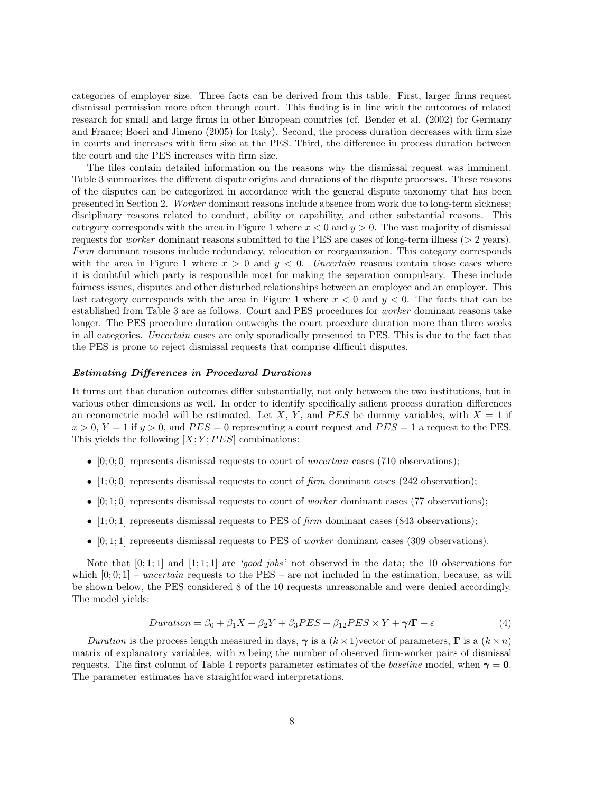categories of employer size. Three facts can be derived from this table. First, larger firms request dismissal permission more often through court. This finding is in line with the outcomes of related research for small and large firms in other European countries (cf. Bender et al. (2002) for Germany and France; Boeri and Jimeno (2005) for Italy). Second, the process duration decreases with firm size in courts and increases with firm size at the PES. Third, the difference in process duration between the court and the PES increases with firm size.

The files contain detailed information on the reasons why the dismissal request was imminent. Table 3 summarizes the different dispute origins and durations of the dispute processes. These reasons of the disputes can be categorized in accordance with the general dispute taxonomy that has been presented in Section 2. Worker dominant reasons include absence from work due to long-term sickness; disciplinary reasons related to conduct, ability or capability, and other substantial reasons. This category corresponds with the area in Figure 1 where  $x < 0$  and  $y > 0$ . The vast majority of dismissal requests for *worker* dominant reasons submitted to the PES are cases of long-term illness ( $>$  2 years). Firm dominant reasons include redundancy, relocation or reorganization. This category corresponds with the area in Figure 1 where  $x > 0$  and  $y < 0$ . Uncertain reasons contain those cases where it is doubtful which party is responsible most for making the separation compulsary. These include fairness issues, disputes and other disturbed relationships between an employee and an employer. This last category corresponds with the area in Figure 1 where  $x < 0$  and  $y < 0$ . The facts that can be established from Table 3 are as follows. Court and PES procedures for worker dominant reasons take longer. The PES procedure duration outweighs the court procedure duration more than three weeks in all categories. Uncertain cases are only sporadically presented to PES. This is due to the fact that the PES is prone to reject dismissal requests that comprise difficult disputes.

#### Estimating Differences in Procedural Durations

It turns out that duration outcomes differ substantially, not only between the two institutions, but in various other dimensions as well. In order to identify specifically salient process duration differences an econometric model will be estimated. Let X, Y, and PES be dummy variables, with  $X = 1$  if  $x > 0$ ,  $Y = 1$  if  $y > 0$ , and  $PES = 0$  representing a court request and  $PES = 1$  a request to the PES. This yields the following  $[X; Y; PES]$  combinations:

- $[0, 0, 0]$  represents dismissal requests to court of *uncertain* cases (710 observations);
- [1; 0; 0] represents dismissal requests to court of  $\lim$  dominant cases (242 observation);
- $[0,1;0]$  represents dismissal requests to court of *worker* dominant cases (77 observations);
- [1; 0; 1] represents dismissal requests to PES of  $\lim$  dominant cases (843 observations);
- $[0; 1; 1]$  represents dismissal requests to PES of *worker* dominant cases (309 observations).

Note that  $[0; 1; 1]$  and  $[1; 1; 1]$  are 'good jobs' not observed in the data; the 10 observations for which  $[0; 0; 1]$  – uncertain requests to the PES – are not included in the estimation, because, as will be shown below, the PES considered 8 of the 10 requests unreasonable and were denied accordingly. The model yields:

$$
Duration = \beta_0 + \beta_1 X + \beta_2 Y + \beta_3 PES + \beta_{12} PES \times Y + \gamma \mathcal{I} \Gamma + \varepsilon
$$
\n<sup>(4)</sup>

Duration is the process length measured in days,  $\gamma$  is a  $(k \times 1)$  vector of parameters,  $\Gamma$  is a  $(k \times n)$ matrix of explanatory variables, with n being the number of observed firm-worker pairs of dismissal requests. The first column of Table 4 reports parameter estimates of the *baseline* model, when  $\gamma = 0$ . The parameter estimates have straightforward interpretations.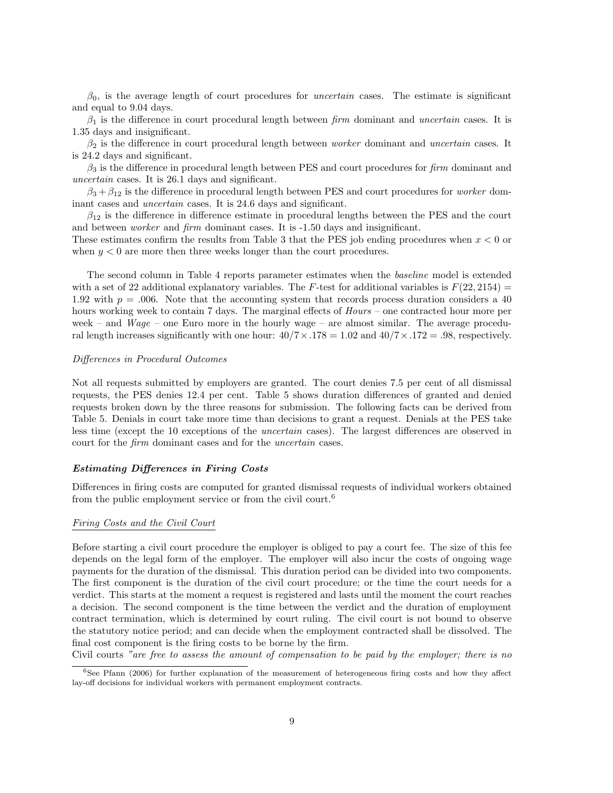$\beta_0$ , is the average length of court procedures for *uncertain* cases. The estimate is significant and equal to 9.04 days.

 $\beta_1$  is the difference in court procedural length between firm dominant and uncertain cases. It is 1.35 days and insignificant.

 $\beta_2$  is the difference in court procedural length between *worker* dominant and *uncertain* cases. It is 24.2 days and significant.

 $\beta_3$  is the difference in procedural length between PES and court procedures for firm dominant and uncertain cases. It is 26.1 days and significant.

 $\beta_3 + \beta_{12}$  is the difference in procedural length between PES and court procedures for *worker* dominant cases and uncertain cases. It is 24.6 days and significant.

 $\beta_{12}$  is the difference in difference estimate in procedural lengths between the PES and the court and between worker and firm dominant cases. It is -1.50 days and insignificant.

These estimates confirm the results from Table 3 that the PES job ending procedures when  $x < 0$  or when  $y < 0$  are more then three weeks longer than the court procedures.

The second column in Table 4 reports parameter estimates when the baseline model is extended with a set of 22 additional explanatory variables. The F-test for additional variables is  $F(22, 2154)$  = 1.92 with  $p = 0.006$ . Note that the accounting system that records process duration considers a 40 hours working week to contain 7 days. The marginal effects of  $Hours$  – one contracted hour more per week – and  $Wage$  – one Euro more in the hourly wage – are almost similar. The average procedural length increases significantly with one hour:  $40/7 \times 178 = 1.02$  and  $40/7 \times 172 = 0.98$ , respectively.

#### Differences in Procedural Outcomes

Not all requests submitted by employers are granted. The court denies 7.5 per cent of all dismissal requests, the PES denies 12.4 per cent. Table 5 shows duration differences of granted and denied requests broken down by the three reasons for submission. The following facts can be derived from Table 5. Denials in court take more time than decisions to grant a request. Denials at the PES take less time (except the 10 exceptions of the uncertain cases). The largest differences are observed in court for the firm dominant cases and for the uncertain cases.

#### Estimating Differences in Firing Costs

Differences in firing costs are computed for granted dismissal requests of individual workers obtained from the public employment service or from the civil court.<sup>6</sup>

#### Firing Costs and the Civil Court

Before starting a civil court procedure the employer is obliged to pay a court fee. The size of this fee depends on the legal form of the employer. The employer will also incur the costs of ongoing wage payments for the duration of the dismissal. This duration period can be divided into two components. The first component is the duration of the civil court procedure; or the time the court needs for a verdict. This starts at the moment a request is registered and lasts until the moment the court reaches a decision. The second component is the time between the verdict and the duration of employment contract termination, which is determined by court ruling. The civil court is not bound to observe the statutory notice period; and can decide when the employment contracted shall be dissolved. The final cost component is the firing costs to be borne by the firm.

Civil courts "are free to assess the amount of compensation to be paid by the employer; there is no

<sup>6</sup>See Pfann (2006) for further explanation of the measurement of heterogeneous firing costs and how they affect lay-off decisions for individual workers with permanent employment contracts.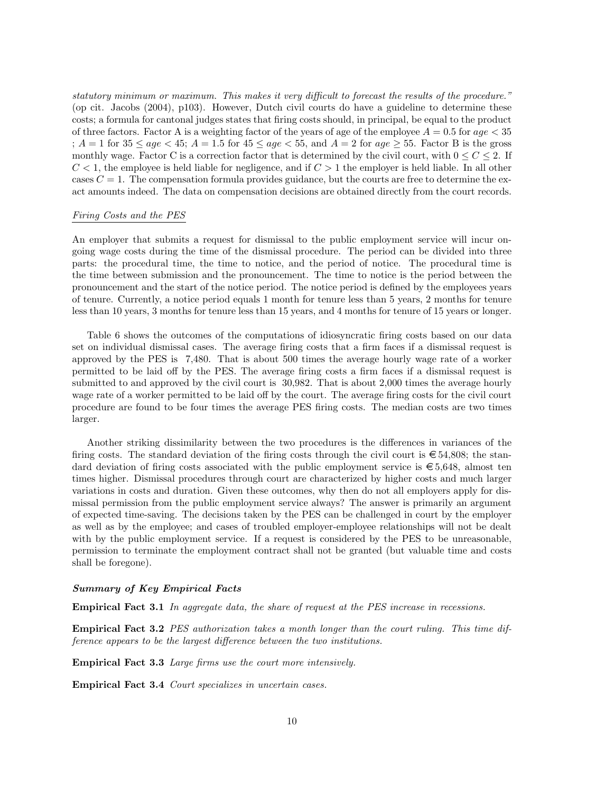statutory minimum or maximum. This makes it very difficult to forecast the results of the procedure." (op cit. Jacobs (2004), p103). However, Dutch civil courts do have a guideline to determine these costs; a formula for cantonal judges states that firing costs should, in principal, be equal to the product of three factors. Factor A is a weighting factor of the years of age of the employee  $A = 0.5$  for  $age < 35$ ;  $A = 1$  for  $35 \le age < 45$ ;  $A = 1.5$  for  $45 \le age < 55$ , and  $A = 2$  for  $age \ge 55$ . Factor B is the gross monthly wage. Factor C is a correction factor that is determined by the civil court, with  $0 \leq C \leq 2$ . If  $C < 1$ , the employee is held liable for negligence, and if  $C > 1$  the employer is held liable. In all other cases  $C = 1$ . The compensation formula provides guidance, but the courts are free to determine the exact amounts indeed. The data on compensation decisions are obtained directly from the court records.

#### Firing Costs and the PES

An employer that submits a request for dismissal to the public employment service will incur ongoing wage costs during the time of the dismissal procedure. The period can be divided into three parts: the procedural time, the time to notice, and the period of notice. The procedural time is the time between submission and the pronouncement. The time to notice is the period between the pronouncement and the start of the notice period. The notice period is defined by the employees years of tenure. Currently, a notice period equals 1 month for tenure less than 5 years, 2 months for tenure less than 10 years, 3 months for tenure less than 15 years, and 4 months for tenure of 15 years or longer.

Table 6 shows the outcomes of the computations of idiosyncratic firing costs based on our data set on individual dismissal cases. The average firing costs that a firm faces if a dismissal request is approved by the PES is 7,480. That is about 500 times the average hourly wage rate of a worker permitted to be laid off by the PES. The average firing costs a firm faces if a dismissal request is submitted to and approved by the civil court is 30,982. That is about 2,000 times the average hourly wage rate of a worker permitted to be laid off by the court. The average firing costs for the civil court procedure are found to be four times the average PES firing costs. The median costs are two times larger.

Another striking dissimilarity between the two procedures is the differences in variances of the firing costs. The standard deviation of the firing costs through the civil court is  $\epsilon$  54,808; the standard deviation of firing costs associated with the public employment service is  $\epsilon$  5,648, almost ten times higher. Dismissal procedures through court are characterized by higher costs and much larger variations in costs and duration. Given these outcomes, why then do not all employers apply for dismissal permission from the public employment service always? The answer is primarily an argument of expected time-saving. The decisions taken by the PES can be challenged in court by the employer as well as by the employee; and cases of troubled employer-employee relationships will not be dealt with by the public employment service. If a request is considered by the PES to be unreasonable, permission to terminate the employment contract shall not be granted (but valuable time and costs shall be foregone).

#### Summary of Key Empirical Facts

Empirical Fact 3.1 In aggregate data, the share of request at the PES increase in recessions.

Empirical Fact 3.2 PES authorization takes a month longer than the court ruling. This time difference appears to be the largest difference between the two institutions.

Empirical Fact 3.3 Large firms use the court more intensively.

Empirical Fact 3.4 Court specializes in uncertain cases.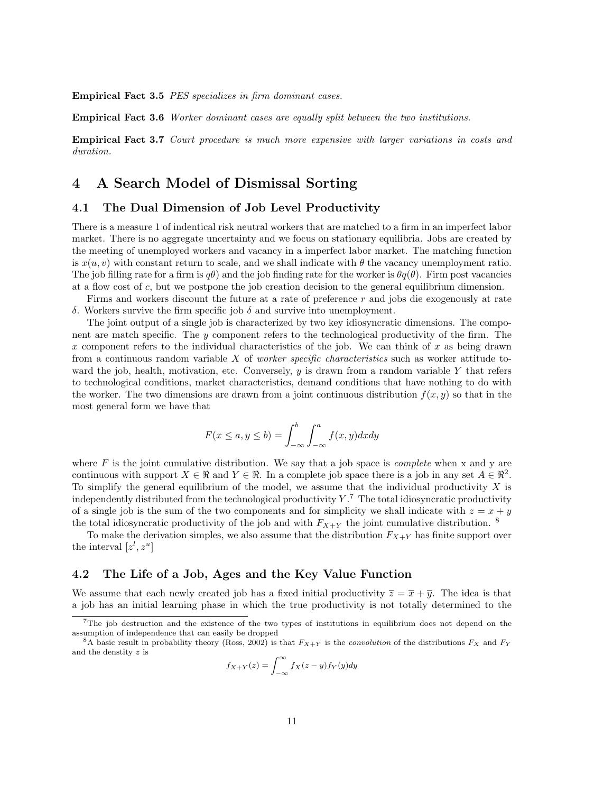Empirical Fact 3.5 PES specializes in firm dominant cases.

Empirical Fact 3.6 Worker dominant cases are equally split between the two institutions.

Empirical Fact 3.7 Court procedure is much more expensive with larger variations in costs and duration.

## 4 A Search Model of Dismissal Sorting

### 4.1 The Dual Dimension of Job Level Productivity

There is a measure 1 of indentical risk neutral workers that are matched to a firm in an imperfect labor market. There is no aggregate uncertainty and we focus on stationary equilibria. Jobs are created by the meeting of unemployed workers and vacancy in a imperfect labor market. The matching function is  $x(u, v)$  with constant return to scale, and we shall indicate with  $\theta$  the vacancy unemployment ratio. The job filling rate for a firm is  $q\theta$ ) and the job finding rate for the worker is  $\theta q(\theta)$ . Firm post vacancies at a flow cost of c, but we postpone the job creation decision to the general equilibrium dimension.

Firms and workers discount the future at a rate of preference  $r$  and jobs die exogenously at rate δ. Workers survive the firm specific job δ and survive into unemployment.

The joint output of a single job is characterized by two key idiosyncratic dimensions. The component are match specific. The y component refers to the technological productivity of the firm. The x component refers to the individual characteristics of the job. We can think of x as being drawn from a continuous random variable  $X$  of *worker specific characteristics* such as worker attitude toward the job, health, motivation, etc. Conversely,  $y$  is drawn from a random variable  $Y$  that refers to technological conditions, market characteristics, demand conditions that have nothing to do with the worker. The two dimensions are drawn from a joint continuous distribution  $f(x, y)$  so that in the most general form we have that

$$
F(x \le a, y \le b) = \int_{-\infty}^{b} \int_{-\infty}^{a} f(x, y) dx dy
$$

where  $F$  is the joint cumulative distribution. We say that a job space is *complete* when x and y are continuous with support  $X \in \mathbb{R}$  and  $Y \in \mathbb{R}$ . In a complete job space there is a job in any set  $A \in \mathbb{R}^2$ . To simplify the general equilibrium of the model, we assume that the individual productivity  $X$  is independently distributed from the technological productivity  $Y<sup>7</sup>$ . The total idiosyncratic productivity of a single job is the sum of the two components and for simplicity we shall indicate with  $z = x + y$ the total idiosyncratic productivity of the job and with  $F_{X+Y}$  the joint cumulative distribution. <sup>8</sup>

To make the derivation simples, we also assume that the distribution  $F_{X+Y}$  has finite support over the interval  $[z^l, z^u]$ 

### 4.2 The Life of a Job, Ages and the Key Value Function

We assume that each newly created job has a fixed initial productivity  $\overline{z} = \overline{x} + \overline{y}$ . The idea is that a job has an initial learning phase in which the true productivity is not totally determined to the

$$
f_{X+Y}(z) = \int_{-\infty}^{\infty} f_X(z-y) f_Y(y) dy
$$

<sup>7</sup>The job destruction and the existence of the two types of institutions in equilibrium does not depend on the assumption of independence that can easily be dropped

<sup>&</sup>lt;sup>8</sup>A basic result in probability theory (Ross, 2002) is that  $F_{X+Y}$  is the *convolution* of the distributions  $F_X$  and  $F_Y$ and the denstity z is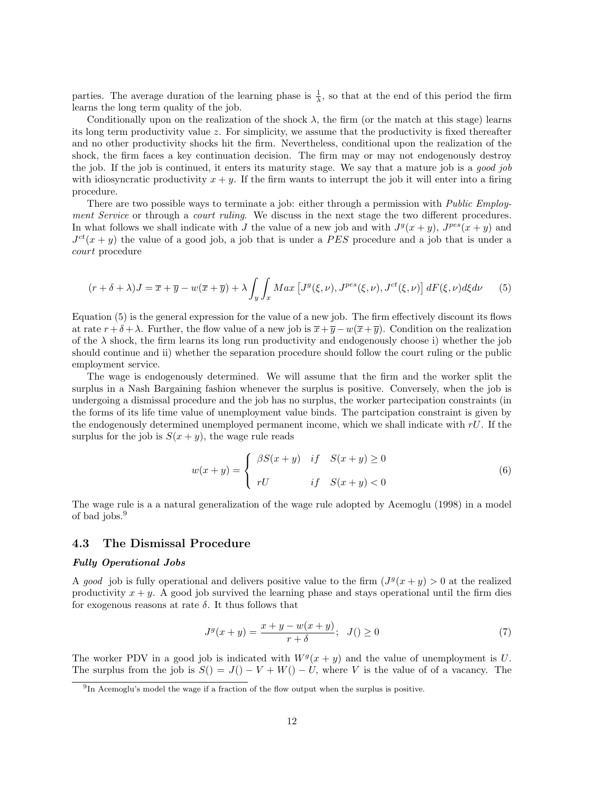parties. The average duration of the learning phase is  $\frac{1}{\lambda}$ , so that at the end of this period the firm learns the long term quality of the job.

Conditionally upon on the realization of the shock  $\lambda$ , the firm (or the match at this stage) learns its long term productivity value z. For simplicity, we assume that the productivity is fixed thereafter and no other productivity shocks hit the firm. Nevertheless, conditional upon the realization of the shock, the firm faces a key continuation decision. The firm may or may not endogenously destroy the job. If the job is continued, it enters its maturity stage. We say that a mature job is a good job with idiosyncratic productivity  $x + y$ . If the firm wants to interrupt the job it will enter into a firing procedure.

There are two possible ways to terminate a job: either through a permission with *Public Employ*ment Service or through a court ruling. We discuss in the next stage the two different procedures. In what follows we shall indicate with J the value of a new job and with  $J^g(x+y)$ ,  $J^{pes}(x+y)$  and  $J^{ct}(x+y)$  the value of a good job, a job that is under a PES procedure and a job that is under a court procedure

$$
(r + \delta + \lambda)J = \overline{x} + \overline{y} - w(\overline{x} + \overline{y}) + \lambda \int_{\mathcal{Y}} \int_{\mathcal{X}} Max \left[ J^g(\xi, \nu), J^{pes}(\xi, \nu), J^{ct}(\xi, \nu) \right] dF(\xi, \nu) d\xi d\nu \tag{5}
$$

Equation (5) is the general expression for the value of a new job. The firm effectively discount its flows at rate  $r + \delta + \lambda$ . Further, the flow value of a new job is  $\overline{x} + \overline{y} - w(\overline{x} + \overline{y})$ . Condition on the realization of the  $\lambda$  shock, the firm learns its long run productivity and endogenously choose i) whether the job should continue and ii) whether the separation procedure should follow the court ruling or the public employment service.

The wage is endogenously determined. We will assume that the firm and the worker split the surplus in a Nash Bargaining fashion whenever the surplus is positive. Conversely, when the job is undergoing a dismissal procedure and the job has no surplus, the worker partecipation constraints (in the forms of its life time value of unemployment value binds. The partcipation constraint is given by the endogenously determined unemployed permanent income, which we shall indicate with  $rU$ . If the surplus for the job is  $S(x + y)$ , the wage rule reads

$$
w(x+y) = \begin{cases} \beta S(x+y) & \text{if} \quad S(x+y) \ge 0\\ rU & \text{if} \quad S(x+y) < 0 \end{cases}
$$
(6)

The wage rule is a a natural generalization of the wage rule adopted by Acemoglu (1998) in a model of bad jobs.<sup>9</sup>

### 4.3 The Dismissal Procedure

### Fully Operational Jobs

A good job is fully operational and delivers positive value to the firm  $(J<sup>g</sup>(x+y) > 0$  at the realized productivity  $x + y$ . A good job survived the learning phase and stays operational until the firm dies for exogenous reasons at rate  $\delta$ . It thus follows that

$$
J^{g}(x+y) = \frac{x+y-w(x+y)}{r+\delta}; \ \ J() \ge 0
$$
\n(7)

The worker PDV in a good job is indicated with  $W<sup>g</sup>(x + y)$  and the value of unemployment is U. The surplus from the job is  $S() = J() - V + W() - U$ , where V is the value of of a vacancy. The

<sup>9</sup> In Acemoglu's model the wage if a fraction of the flow output when the surplus is positive.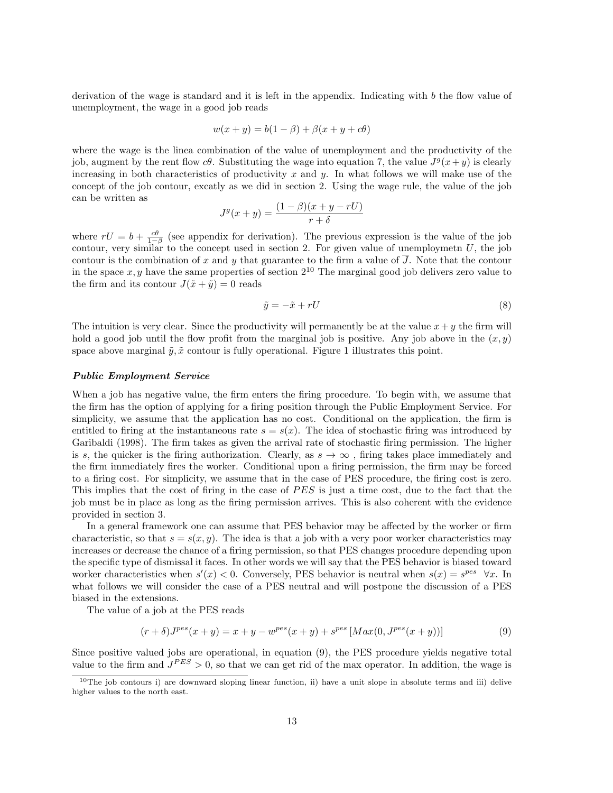derivation of the wage is standard and it is left in the appendix. Indicating with  $b$  the flow value of unemployment, the wage in a good job reads

$$
w(x + y) = b(1 - \beta) + \beta(x + y + c\theta)
$$

where the wage is the linea combination of the value of unemployment and the productivity of the job, augment by the rent flow  $c\theta$ . Substituting the wage into equation 7, the value  $J^g(x+y)$  is clearly increasing in both characteristics of productivity x and y. In what follows we will make use of the concept of the job contour, excatly as we did in section 2. Using the wage rule, the value of the job can be written as

$$
J^g(x+y) = \frac{(1-\beta)(x+y-rU)}{r+\delta}
$$

where  $rU = b + \frac{c\theta}{1-\beta}$  (see appendix for derivation). The previous expression is the value of the job contour, very similar to the concept used in section 2. For given value of unemploymetn  $U$ , the job contour is the combination of x and y that guarantee to the firm a value of  $\overline{J}$ . Note that the contour in the space  $x, y$  have the same properties of section  $2^{10}$  The marginal good job delivers zero value to the firm and its contour  $J(\tilde{x} + \tilde{y}) = 0$  reads

$$
\tilde{y} = -\tilde{x} + rU\tag{8}
$$

The intuition is very clear. Since the productivity will permanently be at the value  $x+y$  the firm will hold a good job until the flow profit from the marginal job is positive. Any job above in the  $(x, y)$ space above marginal  $\tilde{y}, \tilde{x}$  contour is fully operational. Figure 1 illustrates this point.

#### Public Employment Service

When a job has negative value, the firm enters the firing procedure. To begin with, we assume that the firm has the option of applying for a firing position through the Public Employment Service. For simplicity, we assume that the application has no cost. Conditional on the application, the firm is entitled to firing at the instantaneous rate  $s = s(x)$ . The idea of stochastic firing was introduced by Garibaldi (1998). The firm takes as given the arrival rate of stochastic firing permission. The higher is s, the quicker is the firing authorization. Clearly, as  $s \to \infty$ , firing takes place immediately and the firm immediately fires the worker. Conditional upon a firing permission, the firm may be forced to a firing cost. For simplicity, we assume that in the case of PES procedure, the firing cost is zero. This implies that the cost of firing in the case of PES is just a time cost, due to the fact that the job must be in place as long as the firing permission arrives. This is also coherent with the evidence provided in section 3.

In a general framework one can assume that PES behavior may be affected by the worker or firm characteristic, so that  $s = s(x, y)$ . The idea is that a job with a very poor worker characteristics may increases or decrease the chance of a firing permission, so that PES changes procedure depending upon the specific type of dismissal it faces. In other words we will say that the PES behavior is biased toward worker characteristics when  $s'(x) < 0$ . Conversely, PES behavior is neutral when  $s(x) = s^{pes} \forall x$ . In what follows we will consider the case of a PES neutral and will postpone the discussion of a PES biased in the extensions.

The value of a job at the PES reads

$$
(r+\delta)J^{pes}(x+y) = x+y-w^{pes}(x+y) + s^{pes} [Max(0, J^{pes}(x+y))]
$$
\n(9)

Since positive valued jobs are operational, in equation (9), the PES procedure yields negative total value to the firm and  $J^{PES} > 0$ , so that we can get rid of the max operator. In addition, the wage is

<sup>&</sup>lt;sup>10</sup>The job contours i) are downward sloping linear function, ii) have a unit slope in absolute terms and iii) delive higher values to the north east.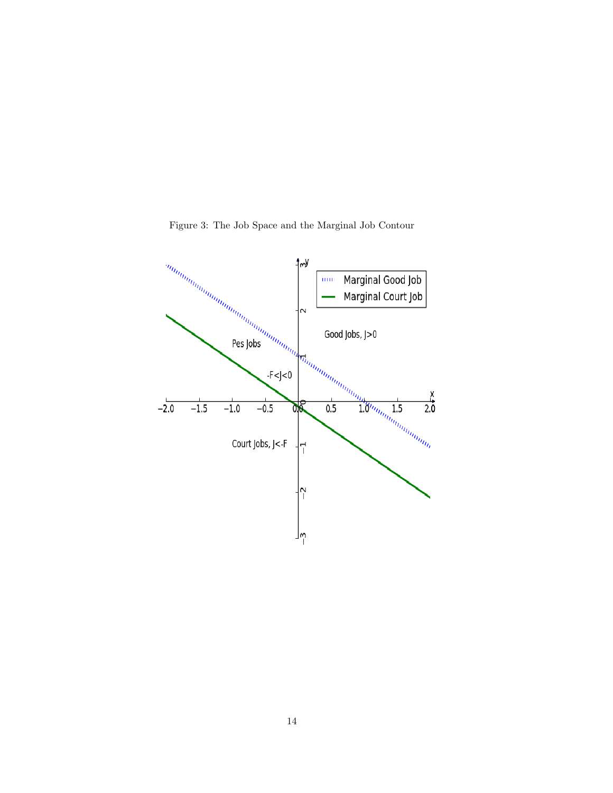

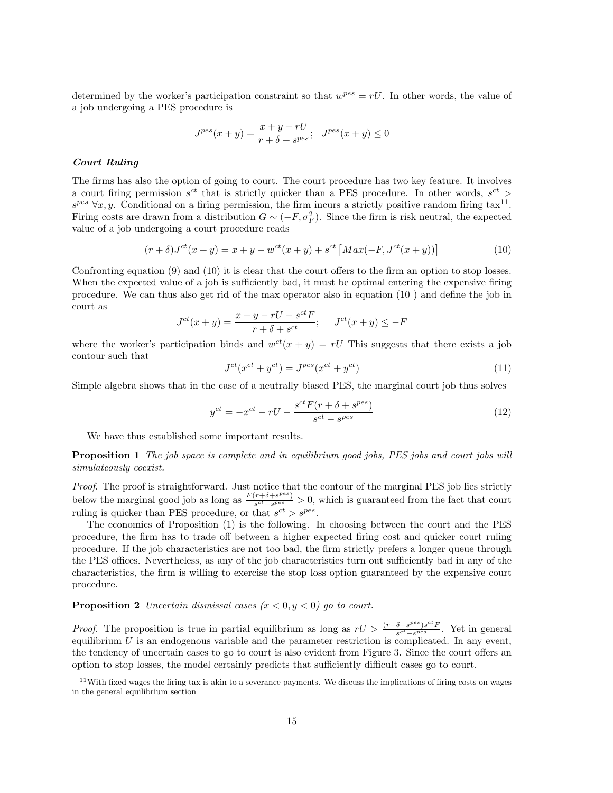determined by the worker's participation constraint so that  $w^{pes} = rU$ . In other words, the value of a job undergoing a PES procedure is

$$
J^{pes}(x+y) = \frac{x+y-rU}{r+\delta+s^{pes}}; \quad J^{pes}(x+y) \le 0
$$

#### Court Ruling

The firms has also the option of going to court. The court procedure has two key feature. It involves a court firing permission  $s^{ct}$  that is strictly quicker than a PES procedure. In other words,  $s^{ct}$  >  $s^{pes} \,\forall x, y$ . Conditional on a firing permission, the firm incurs a strictly positive random firing tax<sup>11</sup>. Firing costs are drawn from a distribution  $G \sim (-F, \sigma_F^2)$ . Since the firm is risk neutral, the expected value of a job undergoing a court procedure reads

$$
(r+\delta)J^{ct}(x+y) = x+y - w^{ct}(x+y) + s^{ct} [Max(-F, J^{ct}(x+y))]
$$
\n(10)

Confronting equation (9) and (10) it is clear that the court offers to the firm an option to stop losses. When the expected value of a job is sufficiently bad, it must be optimal entering the expensive firing procedure. We can thus also get rid of the max operator also in equation (10 ) and define the job in court as

$$
J^{ct}(x+y) = \frac{x+y-rU - s^{ct}F}{r+\delta+s^{ct}}; \quad J^{ct}(x+y) \le -F
$$

where the worker's participation binds and  $w^{ct}(x + y) = rU$  This suggests that there exists a job contour such that

$$
J^{ct}(x^{ct} + y^{ct}) = J^{pes}(x^{ct} + y^{ct})
$$
\n
$$
(11)
$$

Simple algebra shows that in the case of a neutrally biased PES, the marginal court job thus solves

$$
y^{ct} = -x^{ct} - rU - \frac{s^{ct}F(r+\delta+s^{pes})}{s^{ct}-s^{pes}} \tag{12}
$$

We have thus established some important results.

Proposition 1 The job space is complete and in equilibrium good jobs, PES jobs and court jobs will simulateously coexist.

Proof. The proof is straightforward. Just notice that the contour of the marginal PES job lies strictly below the marginal good job as long as  $\frac{F(r+\delta+s^{pes})}{sct-s^{pes}}$  $\frac{(r+\sigma+s^{\alpha})}{s^{ct}-s^{pes}} > 0$ , which is guaranteed from the fact that court ruling is quicker than PES procedure, or that  $s^{ct} > s^{pes}$ .

The economics of Proposition (1) is the following. In choosing between the court and the PES procedure, the firm has to trade off between a higher expected firing cost and quicker court ruling procedure. If the job characteristics are not too bad, the firm strictly prefers a longer queue through the PES offices. Nevertheless, as any of the job characteristics turn out sufficiently bad in any of the characteristics, the firm is willing to exercise the stop loss option guaranteed by the expensive court procedure.

**Proposition 2** Uncertain dismissal cases  $(x < 0, y < 0)$  go to court.

*Proof.* The proposition is true in partial equilibrium as long as  $rU > \frac{(r+\delta+s^{pes})s^{ct}F}{s^{ct}-s^{pes}}$  $\frac{\sigma+s^{\alpha}-\sigma s^{\alpha}}{s^{ct}-s^{pes}}$ . Yet in general equilibrium  $U$  is an endogenous variable and the parameter restriction is complicated. In any event, the tendency of uncertain cases to go to court is also evident from Figure 3. Since the court offers an option to stop losses, the model certainly predicts that sufficiently difficult cases go to court.

 $11$ With fixed wages the firing tax is akin to a severance payments. We discuss the implications of firing costs on wages in the general equilibrium section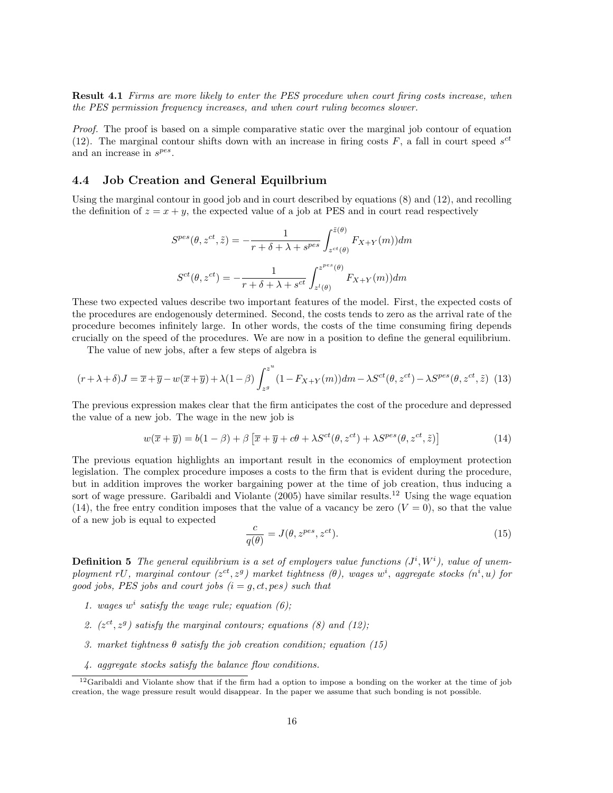Result 4.1 Firms are more likely to enter the PES procedure when court firing costs increase, when the PES permission frequency increases, and when court ruling becomes slower.

Proof. The proof is based on a simple comparative static over the marginal job contour of equation (12). The marginal contour shifts down with an increase in firing costs  $F$ , a fall in court speed  $s^{ct}$ and an increase in  $s^{pes}$ .

## 4.4 Job Creation and General Equilbrium

Using the marginal contour in good job and in court described by equations (8) and (12), and recolling the definition of  $z = x + y$ , the expected value of a job at PES and in court read respectively

$$
S^{pes}(\theta, z^{ct}, \tilde{z}) = -\frac{1}{r + \delta + \lambda + s^{pes}} \int_{z^{ct}(\theta)}^{\tilde{z}(\theta)} F_{X+Y}(m)) dm
$$

$$
S^{ct}(\theta, z^{ct}) = -\frac{1}{r + \delta + \lambda + s^{ct}} \int_{z^{l}(\theta)}^{z^{pes}(\theta)} F_{X+Y}(m)) dm
$$

These two expected values describe two important features of the model. First, the expected costs of the procedures are endogenously determined. Second, the costs tends to zero as the arrival rate of the procedure becomes infinitely large. In other words, the costs of the time consuming firing depends crucially on the speed of the procedures. We are now in a position to define the general equilibrium.

The value of new jobs, after a few steps of algebra is

$$
(r + \lambda + \delta)J = \overline{x} + \overline{y} - w(\overline{x} + \overline{y}) + \lambda(1 - \beta) \int_{z^g}^{z^u} (1 - F_{X+Y}(m)) dm - \lambda S^{ct}(\theta, z^{ct}) - \lambda S^{pes}(\theta, z^{ct}, \tilde{z})
$$
(13)

The previous expression makes clear that the firm anticipates the cost of the procedure and depressed the value of a new job. The wage in the new job is

$$
w(\overline{x} + \overline{y}) = b(1 - \beta) + \beta \left[ \overline{x} + \overline{y} + c\theta + \lambda S^{ct}(\theta, z^{ct}) + \lambda S^{pes}(\theta, z^{ct}, \tilde{z}) \right]
$$
(14)

The previous equation highlights an important result in the economics of employment protection legislation. The complex procedure imposes a costs to the firm that is evident during the procedure, but in addition improves the worker bargaining power at the time of job creation, thus inducing a sort of wage pressure. Garibaldi and Violante (2005) have similar results.<sup>12</sup> Using the wage equation (14), the free entry condition imposes that the value of a vacancy be zero  $(V = 0)$ , so that the value of a new job is equal to expected

$$
\frac{c}{q(\theta)} = J(\theta, z^{pes}, z^{ct}).
$$
\n(15)

**Definition 5** The general equilibrium is a set of employers value functions  $(J^i, W^i)$ , value of unemployment rU, marginal contour  $(z^{ct}, z^{g})$  market tightness  $(\theta)$ , wages w<sup>i</sup>, aggregate stocks  $(n^{i}, u)$  for good jobs, PES jobs and court jobs  $(i = g, ct, pes)$  such that

- 1. wages  $w^i$  satisfy the wage rule; equation (6);
- 2.  $(z^{ct}, z^g)$  satisfy the marginal contours; equations (8) and (12);
- 3. market tightness  $\theta$  satisfy the job creation condition; equation (15)
- 4. aggregate stocks satisfy the balance flow conditions.

<sup>&</sup>lt;sup>12</sup>Garibaldi and Violante show that if the firm had a option to impose a bonding on the worker at the time of job creation, the wage pressure result would disappear. In the paper we assume that such bonding is not possible.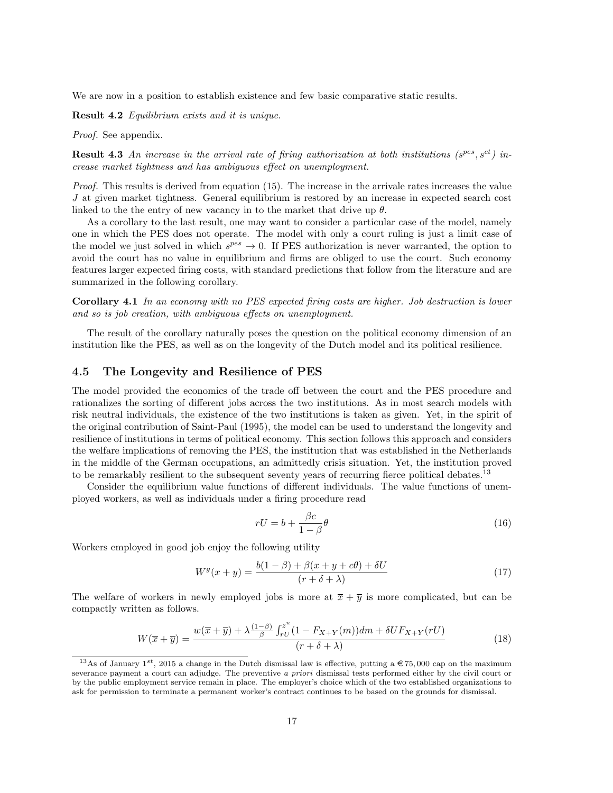We are now in a position to establish existence and few basic comparative static results.

Result 4.2 Equilibrium exists and it is unique.

Proof. See appendix.

**Result 4.3** An increase in the arrival rate of firing authorization at both institutions ( $s^{pes}, s^{ct}$ ) increase market tightness and has ambiguous effect on unemployment.

Proof. This results is derived from equation (15). The increase in the arrivale rates increases the value J at given market tightness. General equilibrium is restored by an increase in expected search cost linked to the the entry of new vacancy in to the market that drive up  $\theta$ .

As a corollary to the last result, one may want to consider a particular case of the model, namely one in which the PES does not operate. The model with only a court ruling is just a limit case of the model we just solved in which  $s^{pes} \to 0$ . If PES authorization is never warranted, the option to avoid the court has no value in equilibrium and firms are obliged to use the court. Such economy features larger expected firing costs, with standard predictions that follow from the literature and are summarized in the following corollary.

Corollary 4.1 In an economy with no PES expected firing costs are higher. Job destruction is lower and so is job creation, with ambiguous effects on unemployment.

The result of the corollary naturally poses the question on the political economy dimension of an institution like the PES, as well as on the longevity of the Dutch model and its political resilience.

## 4.5 The Longevity and Resilience of PES

The model provided the economics of the trade off between the court and the PES procedure and rationalizes the sorting of different jobs across the two institutions. As in most search models with risk neutral individuals, the existence of the two institutions is taken as given. Yet, in the spirit of the original contribution of Saint-Paul (1995), the model can be used to understand the longevity and resilience of institutions in terms of political economy. This section follows this approach and considers the welfare implications of removing the PES, the institution that was established in the Netherlands in the middle of the German occupations, an admittedly crisis situation. Yet, the institution proved to be remarkably resilient to the subsequent seventy years of recurring fierce political debates.<sup>13</sup>

Consider the equilibrium value functions of different individuals. The value functions of unemployed workers, as well as individuals under a firing procedure read

$$
rU = b + \frac{\beta c}{1 - \beta} \theta \tag{16}
$$

Workers employed in good job enjoy the following utility

$$
W^g(x+y) = \frac{b(1-\beta) + \beta(x+y+c\theta) + \delta U}{(r+\delta+\lambda)}
$$
(17)

The welfare of workers in newly employed jobs is more at  $\bar{x} + \bar{y}$  is more complicated, but can be compactly written as follows.

$$
W(\overline{x} + \overline{y}) = \frac{w(\overline{x} + \overline{y}) + \lambda \frac{(1-\beta)}{\beta} \int_{rU}^{z^u} (1 - F_{X+Y}(m)) dm + \delta U F_{X+Y}(rU)}{(r + \delta + \lambda)}
$$
(18)

<sup>&</sup>lt;sup>13</sup>As of January 1<sup>st</sup>, 2015 a change in the Dutch dismissal law is effective, putting a  $\epsilon$ 75,000 cap on the maximum severance payment a court can adjudge. The preventive a priori dismissal tests performed either by the civil court or by the public employment service remain in place. The employer's choice which of the two established organizations to ask for permission to terminate a permanent worker's contract continues to be based on the grounds for dismissal.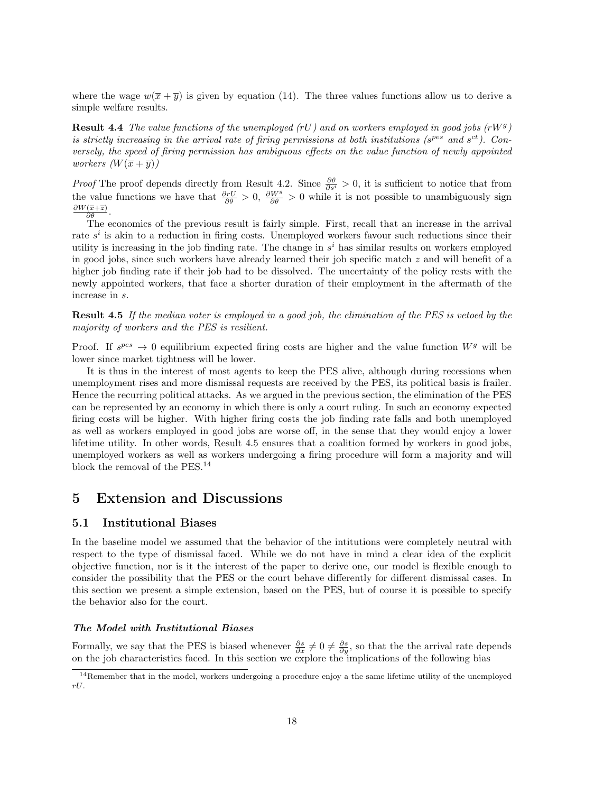where the wage  $w(\overline{x} + \overline{y})$  is given by equation (14). The three values functions allow us to derive a simple welfare results.

**Result 4.4** The value functions of the unemployed (rU) and on workers employed in good jobs (rW<sup>g</sup>) is strictly increasing in the arrival rate of firing permissions at both institutions ( $s^{pes}$  and  $s^{ct}$ ). Conversely, the speed of firing permission has ambiguous effects on the value function of newly appointed *workers*  $(W(\overline{x} + \overline{y}))$ 

*Proof* The proof depends directly from Result 4.2. Since  $\frac{\partial \theta}{\partial s^i} > 0$ , it is sufficient to notice that from the value functions we have that  $\frac{\partial rU}{\partial \theta} > 0$ ,  $\frac{\partial W^g}{\partial \theta} > 0$  while it is not possible to unambiguously sign  $\partial W(\overline{x}+\overline{z})$  $\frac{(x+z)}{\partial \theta}$ .

The economics of the previous result is fairly simple. First, recall that an increase in the arrival rate  $s^i$  is akin to a reduction in firing costs. Unemployed workers favour such reductions since their utility is increasing in the job finding rate. The change in  $s^i$  has similar results on workers employed in good jobs, since such workers have already learned their job specific match  $z$  and will benefit of a higher job finding rate if their job had to be dissolved. The uncertainty of the policy rests with the newly appointed workers, that face a shorter duration of their employment in the aftermath of the increase in s.

Result 4.5 If the median voter is employed in a good job, the elimination of the PES is vetoed by the majority of workers and the PES is resilient.

Proof. If  $s^{pes} \rightarrow 0$  equilibrium expected firing costs are higher and the value function  $W^g$  will be lower since market tightness will be lower.

It is thus in the interest of most agents to keep the PES alive, although during recessions when unemployment rises and more dismissal requests are received by the PES, its political basis is frailer. Hence the recurring political attacks. As we argued in the previous section, the elimination of the PES can be represented by an economy in which there is only a court ruling. In such an economy expected firing costs will be higher. With higher firing costs the job finding rate falls and both unemployed as well as workers employed in good jobs are worse off, in the sense that they would enjoy a lower lifetime utility. In other words, Result 4.5 ensures that a coalition formed by workers in good jobs, unemployed workers as well as workers undergoing a firing procedure will form a majority and will block the removal of the PES.<sup>14</sup>

## 5 Extension and Discussions

## 5.1 Institutional Biases

In the baseline model we assumed that the behavior of the intitutions were completely neutral with respect to the type of dismissal faced. While we do not have in mind a clear idea of the explicit objective function, nor is it the interest of the paper to derive one, our model is flexible enough to consider the possibility that the PES or the court behave differently for different dismissal cases. In this section we present a simple extension, based on the PES, but of course it is possible to specify the behavior also for the court.

### The Model with Institutional Biases

Formally, we say that the PES is biased whenever  $\frac{\partial s}{\partial x} \neq 0 \neq \frac{\partial s}{\partial y}$ , so that the the arrival rate depends on the job characteristics faced. In this section we explore the implications of the following bias

<sup>&</sup>lt;sup>14</sup>Remember that in the model, workers undergoing a procedure enjoy a the same lifetime utility of the unemployed rU.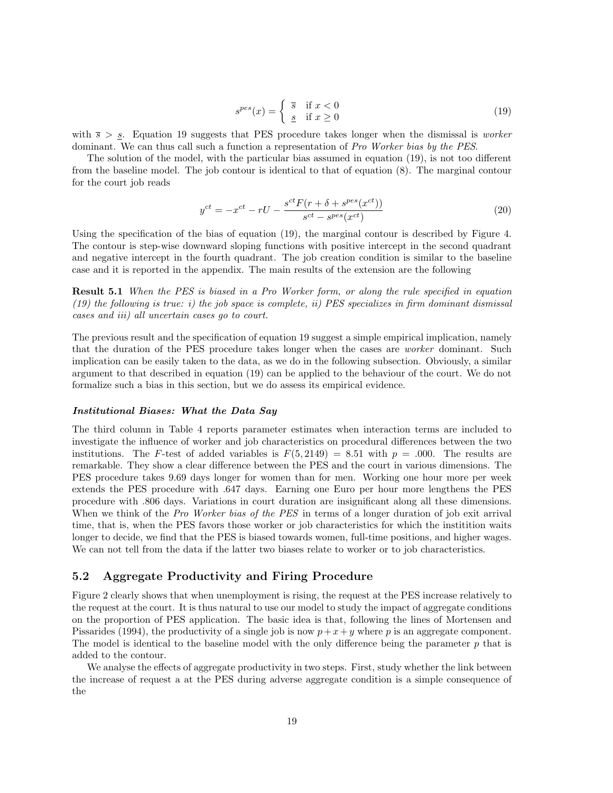$$
s^{pes}(x) = \begin{cases} \overline{s} & \text{if } x < 0\\ \underline{s} & \text{if } x \ge 0 \end{cases}
$$
 (19)

with  $\bar{s} > s$ . Equation 19 suggests that PES procedure takes longer when the dismissal is *worker* dominant. We can thus call such a function a representation of Pro Worker bias by the PES.

The solution of the model, with the particular bias assumed in equation (19), is not too different from the baseline model. The job contour is identical to that of equation (8). The marginal contour for the court job reads

$$
y^{ct} = -x^{ct} - rU - \frac{s^{ct}F(r + \delta + s^{pes}(x^{ct}))}{s^{ct} - s^{pes}(x^{ct})}
$$
\n
$$
(20)
$$

Using the specification of the bias of equation (19), the marginal contour is described by Figure 4. The contour is step-wise downward sloping functions with positive intercept in the second quadrant and negative intercept in the fourth quadrant. The job creation condition is similar to the baseline case and it is reported in the appendix. The main results of the extension are the following

Result 5.1 When the PES is biased in a Pro Worker form, or along the rule specified in equation  $(19)$  the following is true: i) the job space is complete, ii) PES specializes in firm dominant dismissal cases and iii) all uncertain cases go to court.

The previous result and the specification of equation 19 suggest a simple empirical implication, namely that the duration of the PES procedure takes longer when the cases are worker dominant. Such implication can be easily taken to the data, as we do in the following subsection. Obviously, a similar argument to that described in equation (19) can be applied to the behaviour of the court. We do not formalize such a bias in this section, but we do assess its empirical evidence.

#### Institutional Biases: What the Data Say

The third column in Table 4 reports parameter estimates when interaction terms are included to investigate the influence of worker and job characteristics on procedural differences between the two institutions. The F-test of added variables is  $F(5, 2149) = 8.51$  with  $p = .000$ . The results are remarkable. They show a clear difference between the PES and the court in various dimensions. The PES procedure takes 9.69 days longer for women than for men. Working one hour more per week extends the PES procedure with .647 days. Earning one Euro per hour more lengthens the PES procedure with .806 days. Variations in court duration are insignificant along all these dimensions. When we think of the *Pro Worker bias of the PES* in terms of a longer duration of job exit arrival time, that is, when the PES favors those worker or job characteristics for which the institition waits longer to decide, we find that the PES is biased towards women, full-time positions, and higher wages. We can not tell from the data if the latter two biases relate to worker or to job characteristics.

### 5.2 Aggregate Productivity and Firing Procedure

Figure 2 clearly shows that when unemployment is rising, the request at the PES increase relatively to the request at the court. It is thus natural to use our model to study the impact of aggregate conditions on the proportion of PES application. The basic idea is that, following the lines of Mortensen and Pissarides (1994), the productivity of a single job is now  $p + x + y$  where p is an aggregate component. The model is identical to the baseline model with the only difference being the parameter  $p$  that is added to the contour.

We analyse the effects of aggregate productivity in two steps. First, study whether the link between the increase of request a at the PES during adverse aggregate condition is a simple consequence of the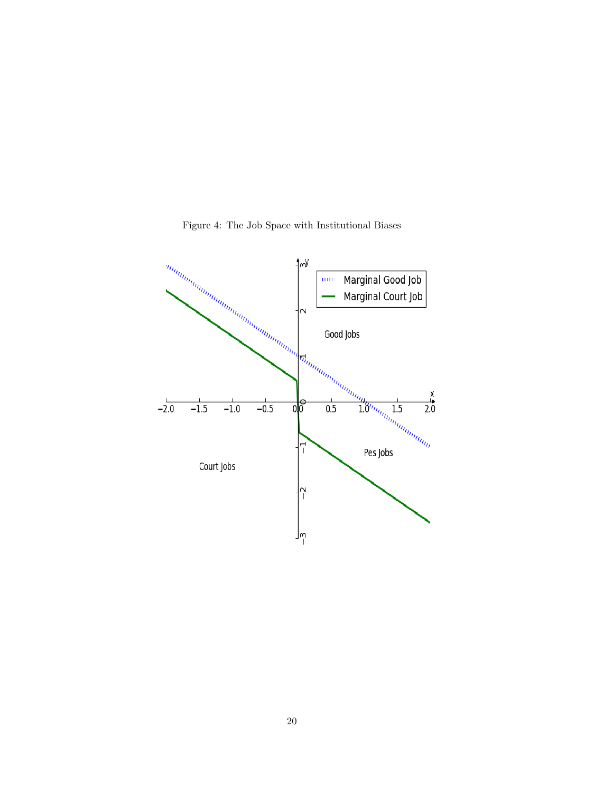

Figure 4: The Job Space with Institutional Biases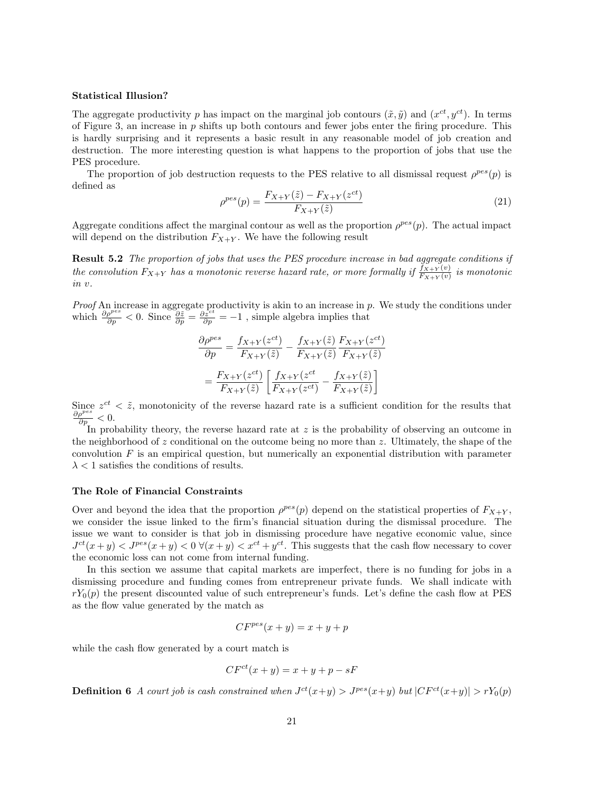#### Statistical Illusion?

The aggregate productivity p has impact on the marginal job contours  $(\tilde{x}, \tilde{y})$  and  $(x^{ct}, y^{ct})$ . In terms of Figure 3, an increase in  $p$  shifts up both contours and fewer jobs enter the firing procedure. This is hardly surprising and it represents a basic result in any reasonable model of job creation and destruction. The more interesting question is what happens to the proportion of jobs that use the PES procedure.

The proportion of job destruction requests to the PES relative to all dismissal request  $\rho^{pes}(p)$  is defined as

$$
\rho^{pes}(p) = \frac{F_{X+Y}(\tilde{z}) - F_{X+Y}(z^{ct})}{F_{X+Y}(\tilde{z})}
$$
\n(21)

Aggregate conditions affect the marginal contour as well as the proportion  $\rho^{pes}(p)$ . The actual impact will depend on the distribution  $F_{X+Y}$ . We have the following result

Result 5.2 The proportion of jobs that uses the PES procedure increase in bad aggregate conditions if the convolution  $F_{X+Y}$  has a monotonic reverse hazard rate, or more formally if  $\frac{f_{X+Y}(v)}{F_{X+Y}(v)}$  is monotonic in v.

*Proof* An increase in aggregate productivity is akin to an increase in  $p$ . We study the conditions under which  $\frac{\partial \rho^{pes}}{\partial p} < 0$ . Since  $\frac{\partial \tilde{z}}{\partial p} = \frac{\partial z^{ct}}{\partial p} = -1$ , simple algebra implies that

$$
\frac{\partial \rho^{pes}}{\partial p} = \frac{f_{X+Y}(z^{ct})}{F_{X+Y}(\tilde{z})} - \frac{f_{X+Y}(\tilde{z})}{F_{X+Y}(\tilde{z})} \frac{F_{X+Y}(z^{ct})}{F_{X+Y}(\tilde{z})}
$$

$$
= \frac{F_{X+Y}(z^{ct})}{F_{X+Y}(\tilde{z})} \left[ \frac{f_{X+Y}(z^{ct})}{F_{X+Y}(z^{ct})} - \frac{f_{X+Y}(\tilde{z})}{F_{X+Y}(\tilde{z})} \right]
$$

Since  $z^{ct} < \tilde{z}$ , monotonicity of the reverse hazard rate is a sufficient condition for the results that  $\frac{\partial \rho^{pes}}{\partial p} < 0.$ 

In probability theory, the reverse hazard rate at  $z$  is the probability of observing an outcome in the neighborhood of z conditional on the outcome being no more than z. Ultimately, the shape of the convolution  $F$  is an empirical question, but numerically an exponential distribution with parameter  $\lambda$  < 1 satisfies the conditions of results.

#### The Role of Financial Constraints

Over and beyond the idea that the proportion  $\rho^{pes}(p)$  depend on the statistical properties of  $F_{X+Y}$ , we consider the issue linked to the firm's financial situation during the dismissal procedure. The issue we want to consider is that job in dismissing procedure have negative economic value, since  $J^{ct}(x+y) < J^{pes}(x+y) < 0 \ \forall (x+y) < x^{ct} + y^{ct}$ . This suggests that the cash flow necessary to cover the economic loss can not come from internal funding.

In this section we assume that capital markets are imperfect, there is no funding for jobs in a dismissing procedure and funding comes from entrepreneur private funds. We shall indicate with  $rY_0(p)$  the present discounted value of such entrepreneur's funds. Let's define the cash flow at PES as the flow value generated by the match as

$$
CF^{pes}(x+y) = x+y+p
$$

while the cash flow generated by a court match is

$$
CF^{ct}(x+y) = x+y+p-sF
$$

**Definition 6** A court job is cash constrained when  $J^{ct}(x+y) > J^{pes}(x+y)$  but  $|CF^{ct}(x+y)| > rY_0(p)$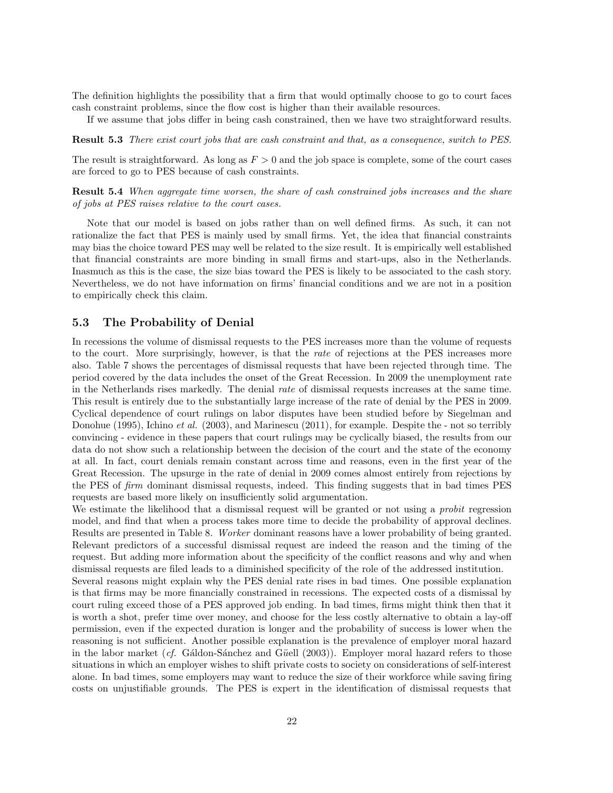The definition highlights the possibility that a firm that would optimally choose to go to court faces cash constraint problems, since the flow cost is higher than their available resources.

If we assume that jobs differ in being cash constrained, then we have two straightforward results.

Result 5.3 There exist court jobs that are cash constraint and that, as a consequence, switch to PES.

The result is straightforward. As long as  $F > 0$  and the job space is complete, some of the court cases are forced to go to PES because of cash constraints.

Result 5.4 When aggregate time worsen, the share of cash constrained jobs increases and the share of jobs at PES raises relative to the court cases.

Note that our model is based on jobs rather than on well defined firms. As such, it can not rationalize the fact that PES is mainly used by small firms. Yet, the idea that financial constraints may bias the choice toward PES may well be related to the size result. It is empirically well established that financial constraints are more binding in small firms and start-ups, also in the Netherlands. Inasmuch as this is the case, the size bias toward the PES is likely to be associated to the cash story. Nevertheless, we do not have information on firms' financial conditions and we are not in a position to empirically check this claim.

### 5.3 The Probability of Denial

In recessions the volume of dismissal requests to the PES increases more than the volume of requests to the court. More surprisingly, however, is that the rate of rejections at the PES increases more also. Table 7 shows the percentages of dismissal requests that have been rejected through time. The period covered by the data includes the onset of the Great Recession. In 2009 the unemployment rate in the Netherlands rises markedly. The denial rate of dismissal requests increases at the same time. This result is entirely due to the substantially large increase of the rate of denial by the PES in 2009. Cyclical dependence of court rulings on labor disputes have been studied before by Siegelman and Donohue (1995), Ichino et al. (2003), and Marinescu (2011), for example. Despite the - not so terribly convincing - evidence in these papers that court rulings may be cyclically biased, the results from our data do not show such a relationship between the decision of the court and the state of the economy at all. In fact, court denials remain constant across time and reasons, even in the first year of the Great Recession. The upsurge in the rate of denial in 2009 comes almost entirely from rejections by the PES of firm dominant dismissal requests, indeed. This finding suggests that in bad times PES requests are based more likely on insufficiently solid argumentation.

We estimate the likelihood that a dismissal request will be granted or not using a *probit* regression model, and find that when a process takes more time to decide the probability of approval declines. Results are presented in Table 8. Worker dominant reasons have a lower probability of being granted. Relevant predictors of a successful dismissal request are indeed the reason and the timing of the request. But adding more information about the specificity of the conflict reasons and why and when dismissal requests are filed leads to a diminished specificity of the role of the addressed institution.

Several reasons might explain why the PES denial rate rises in bad times. One possible explanation is that firms may be more financially constrained in recessions. The expected costs of a dismissal by court ruling exceed those of a PES approved job ending. In bad times, firms might think then that it is worth a shot, prefer time over money, and choose for the less costly alternative to obtain a lay-off permission, even if the expected duration is longer and the probability of success is lower when the reasoning is not sufficient. Another possible explanation is the prevalence of employer moral hazard in the labor market (cf. Ga $\alpha$ idon-Sanchez and Güell (2003)). Employer moral hazard refers to those situations in which an employer wishes to shift private costs to society on considerations of self-interest alone. In bad times, some employers may want to reduce the size of their workforce while saving firing costs on unjustifiable grounds. The PES is expert in the identification of dismissal requests that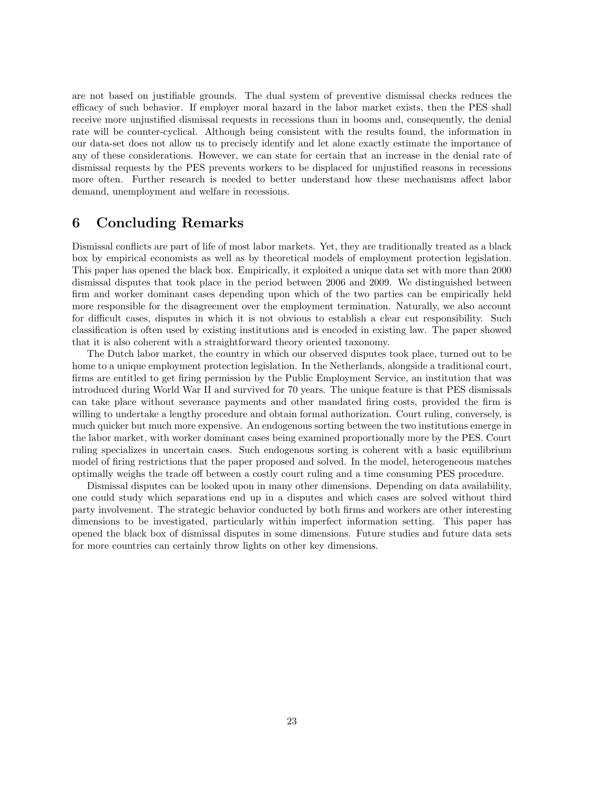are not based on justifiable grounds. The dual system of preventive dismissal checks reduces the efficacy of such behavior. If employer moral hazard in the labor market exists, then the PES shall receive more unjustified dismissal requests in recessions than in booms and, consequently, the denial rate will be counter-cyclical. Although being consistent with the results found, the information in our data-set does not allow us to precisely identify and let alone exactly estimate the importance of any of these considerations. However, we can state for certain that an increase in the denial rate of dismissal requests by the PES prevents workers to be displaced for unjustified reasons in recessions more often. Further research is needed to better understand how these mechanisms affect labor demand, unemployment and welfare in recessions.

## 6 Concluding Remarks

Dismissal conflicts are part of life of most labor markets. Yet, they are traditionally treated as a black box by empirical economists as well as by theoretical models of employment protection legislation. This paper has opened the black box. Empirically, it exploited a unique data set with more than 2000 dismissal disputes that took place in the period between 2006 and 2009. We distinguished between firm and worker dominant cases depending upon which of the two parties can be empirically held more responsible for the disagreement over the employment termination. Naturally, we also account for difficult cases, disputes in which it is not obvious to establish a clear cut responsibility. Such classification is often used by existing institutions and is encoded in existing law. The paper showed that it is also coherent with a straightforward theory oriented taxonomy.

The Dutch labor market, the country in which our observed disputes took place, turned out to be home to a unique employment protection legislation. In the Netherlands, alongside a traditional court, firms are entitled to get firing permission by the Public Employment Service, an institution that was introduced during World War II and survived for 70 years. The unique feature is that PES dismissals can take place without severance payments and other mandated firing costs, provided the firm is willing to undertake a lengthy procedure and obtain formal authorization. Court ruling, conversely, is much quicker but much more expensive. An endogenous sorting between the two institutions emerge in the labor market, with worker dominant cases being examined proportionally more by the PES. Court ruling specializes in uncertain cases. Such endogenous sorting is coherent with a basic equilibrium model of firing restrictions that the paper proposed and solved. In the model, heterogeneous matches optimally weighs the trade off between a costly court ruling and a time consuming PES procedure.

Dismissal disputes can be looked upon in many other dimensions. Depending on data availability, one could study which separations end up in a disputes and which cases are solved without third party involvement. The strategic behavior conducted by both firms and workers are other interesting dimensions to be investigated, particularly within imperfect information setting. This paper has opened the black box of dismissal disputes in some dimensions. Future studies and future data sets for more countries can certainly throw lights on other key dimensions.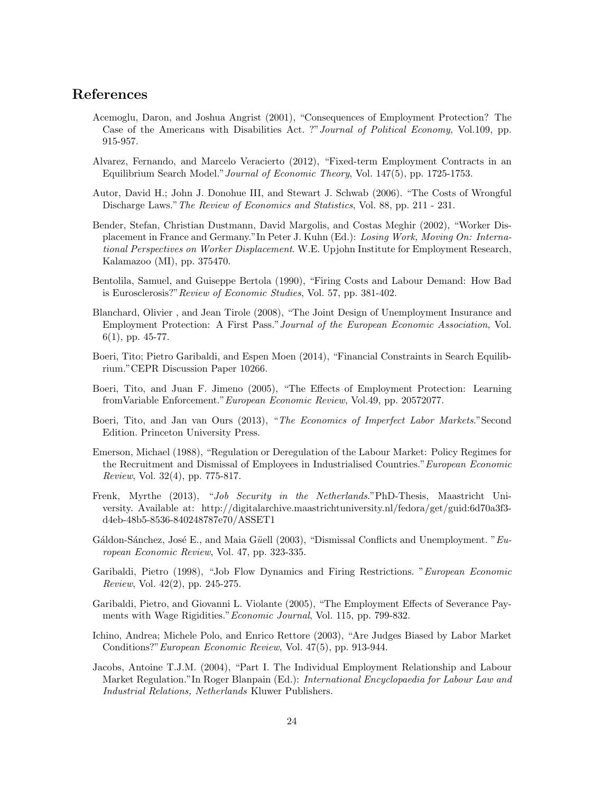## References

- Acemoglu, Daron, and Joshua Angrist (2001), "Consequences of Employment Protection? The Case of the Americans with Disabilities Act. ?"Journal of Political Economy, Vol.109, pp. 915-957.
- Alvarez, Fernando, and Marcelo Veracierto (2012), "Fixed-term Employment Contracts in an Equilibrium Search Model."Journal of Economic Theory, Vol. 147(5), pp. 1725-1753.
- Autor, David H.; John J. Donohue III, and Stewart J. Schwab (2006). "The Costs of Wrongful Discharge Laws."The Review of Economics and Statistics, Vol. 88, pp. 211 - 231.
- Bender, Stefan, Christian Dustmann, David Margolis, and Costas Meghir (2002), "Worker Displacement in France and Germany."In Peter J. Kuhn (Ed.): Losing Work, Moving On: International Perspectives on Worker Displacement. W.E. Upjohn Institute for Employment Research, Kalamazoo (MI), pp. 375470.
- Bentolila, Samuel, and Guiseppe Bertola (1990), "Firing Costs and Labour Demand: How Bad is Eurosclerosis?"Review of Economic Studies, Vol. 57, pp. 381-402.
- Blanchard, Olivier , and Jean Tirole (2008), "The Joint Design of Unemployment Insurance and Employment Protection: A First Pass."Journal of the European Economic Association, Vol.  $6(1)$ , pp. 45-77.
- Boeri, Tito; Pietro Garibaldi, and Espen Moen (2014), "Financial Constraints in Search Equilibrium."CEPR Discussion Paper 10266.
- Boeri, Tito, and Juan F. Jimeno (2005), "The Effects of Employment Protection: Learning fromVariable Enforcement."European Economic Review, Vol.49, pp. 20572077.
- Boeri, Tito, and Jan van Ours (2013), "The Economics of Imperfect Labor Markets."Second Edition. Princeton University Press.
- Emerson, Michael (1988), "Regulation or Deregulation of the Labour Market: Policy Regimes for the Recruitment and Dismissal of Employees in Industrialised Countries."European Economic Review, Vol. 32(4), pp. 775-817.
- Frenk, Myrthe (2013), "Job Security in the Netherlands."PhD-Thesis, Maastricht University. Available at: http://digitalarchive.maastrichtuniversity.nl/fedora/get/guid:6d70a3f3 d4eb-48b5-8536-840248787e70/ASSET1
- Gáldon-Sánchez, José E., and Maia Güell (2003), "Dismissal Conflicts and Unemployment. "European Economic Review, Vol. 47, pp. 323-335.
- Garibaldi, Pietro (1998), "Job Flow Dynamics and Firing Restrictions. "European Economic Review, Vol. 42(2), pp. 245-275.
- Garibaldi, Pietro, and Giovanni L. Violante (2005), "The Employment Effects of Severance Payments with Wage Rigidities."Economic Journal, Vol. 115, pp. 799-832.
- Ichino, Andrea; Michele Polo, and Enrico Rettore (2003), "Are Judges Biased by Labor Market Conditions?"European Economic Review, Vol. 47(5), pp. 913-944.
- Jacobs, Antoine T.J.M. (2004), "Part I. The Individual Employment Relationship and Labour Market Regulation."In Roger Blanpain (Ed.): International Encyclopaedia for Labour Law and Industrial Relations, Netherlands Kluwer Publishers.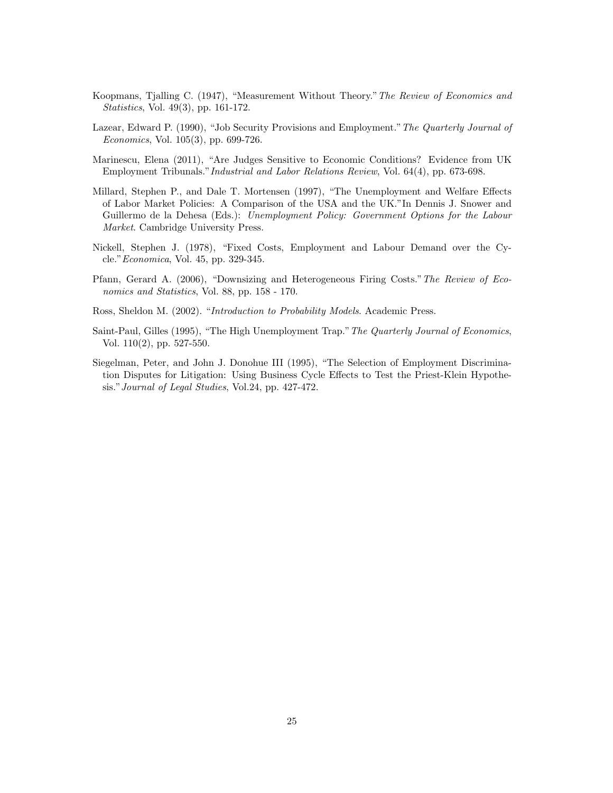- Koopmans, Tjalling C. (1947), "Measurement Without Theory."The Review of Economics and Statistics, Vol. 49(3), pp. 161-172.
- Lazear, Edward P. (1990), "Job Security Provisions and Employment."The Quarterly Journal of Economics, Vol. 105(3), pp. 699-726.
- Marinescu, Elena (2011), "Are Judges Sensitive to Economic Conditions? Evidence from UK Employment Tribunals."Industrial and Labor Relations Review, Vol. 64(4), pp. 673-698.
- Millard, Stephen P., and Dale T. Mortensen (1997), "The Unemployment and Welfare Effects of Labor Market Policies: A Comparison of the USA and the UK."In Dennis J. Snower and Guillermo de la Dehesa (Eds.): Unemployment Policy: Government Options for the Labour Market. Cambridge University Press.
- Nickell, Stephen J. (1978), "Fixed Costs, Employment and Labour Demand over the Cycle."Economica, Vol. 45, pp. 329-345.
- Pfann, Gerard A. (2006), "Downsizing and Heterogeneous Firing Costs."The Review of Economics and Statistics, Vol. 88, pp. 158 - 170.

Ross, Sheldon M. (2002). "Introduction to Probability Models. Academic Press.

- Saint-Paul, Gilles (1995), "The High Unemployment Trap."The Quarterly Journal of Economics, Vol. 110(2), pp. 527-550.
- Siegelman, Peter, and John J. Donohue III (1995), "The Selection of Employment Discrimination Disputes for Litigation: Using Business Cycle Effects to Test the Priest-Klein Hypothesis."Journal of Legal Studies, Vol.24, pp. 427-472.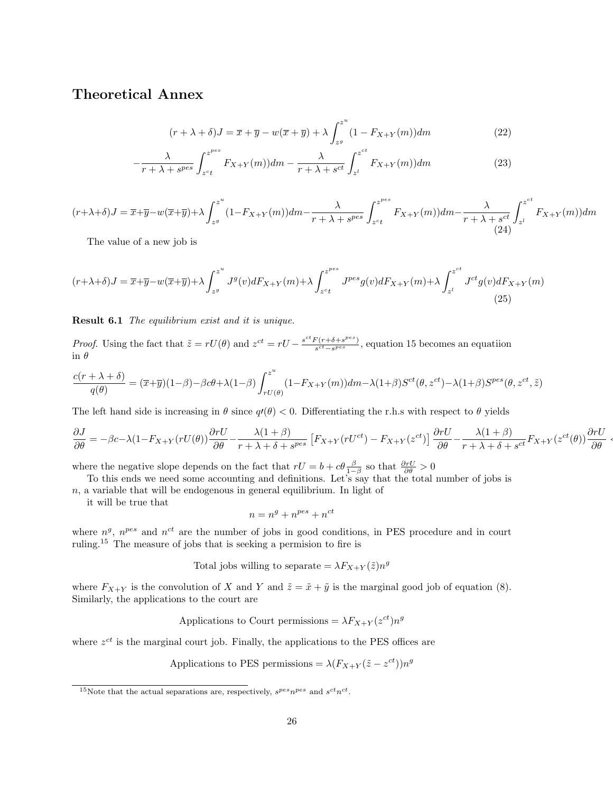## Theoretical Annex

$$
(r + \lambda + \delta)J = \overline{x} + \overline{y} - w(\overline{x} + \overline{y}) + \lambda \int_{z^g}^{z^u} (1 - F_{X+Y}(m)) dm
$$
\n(22)

$$
-\frac{\lambda}{r+\lambda+s^{pes}}\int_{z^ct}^{z^{pes}}F_{X+Y}(m))dm-\frac{\lambda}{r+\lambda+s^{ct}}\int_{z^l}^{z^{ct}}F_{X+Y}(m))dm\tag{23}
$$

 $(r+\lambda+\delta)J=\overline{x}+\overline{y}-w(\overline{x}+\overline{y})+\lambda \int^{z^u}$  $\int_{z^{g}}^{z^{\infty}} (1-F_{X+Y}(m))dm-\frac{\lambda}{r+\lambda+\lambda}$  $\frac{\lambda}{r+\lambda+s^{pes}}\int_{z^ct}^{z^{pes}}$  $\int_{z^ct}^{z^{pcc}} F_{X+Y}(m))dm-\frac{\lambda}{r+\lambda}$  $\frac{\lambda}{r+\lambda+s^{ct}}\int_{z^l}^{z^{ct}}$  $\int_{z^l} F_{X+Y}(m) dm$ (24)

The value of a new job is

$$
(r+\lambda+\delta)J = \overline{x}+\overline{y}-w(\overline{x}+\overline{y})+\lambda \int_{z^g}^{z^u} J^g(v)dF_{X+Y}(m) + \lambda \int_{z^ct}^{z^{pes}} J^{pes}g(v)dF_{X+Y}(m) + \lambda \int_{z^l}^{z^{ct}} J^{ct}g(v)dF_{X+Y}(m)
$$
\n(25)

Result 6.1 The equilibrium exist and it is unique.

*Proof.* Using the fact that  $\tilde{z} = rU(\theta)$  and  $z^{ct} = rU - \frac{s^{ct}F(r+\delta+s^{pes})}{s^{ct}-s^{pes}}$  $\frac{s^{(r+6+s^{r-3})}}{s^{ct}-s^{pes}}$ , equation 15 becomes an equation in  $\theta$ 

$$
\frac{c(r+\lambda + \delta)}{q(\theta)} = (\overline{x} + \overline{y})(1-\beta) - \beta c\theta + \lambda(1-\beta)\int_{rU(\theta)}^{z^u} (1-F_{X+Y}(m))dm - \lambda(1+\beta)S^{ct}(\theta, z^{ct}) - \lambda(1+\beta)S^{pes}(\theta, z^{ct}, \tilde{z})
$$

The left hand side is increasing in  $\theta$  since  $q\ell(\theta) < 0$ . Differentiating the r.h.s with respect to  $\theta$  yields

$$
\frac{\partial J}{\partial \theta} = -\beta c - \lambda (1 - F_{X+Y}(rU(\theta)) \frac{\partial rU}{\partial \theta} - \frac{\lambda (1+\beta)}{r + \lambda + \delta + s^{pes}} \left[ F_{X+Y}(rU^{ct}) - F_{X+Y}(z^{ct}) \right] \frac{\partial rU}{\partial \theta} - \frac{\lambda (1+\beta)}{r + \lambda + \delta + s^{ct}} F_{X+Y}(z^{ct}(\theta)) \frac{\partial rU}{\partial \theta}.
$$

where the negative slope depends on the fact that  $rU = b + c\theta \frac{\beta}{1-\beta}$  so that  $\frac{\partial rU}{\partial \theta} > 0$ 

To this ends we need some accounting and definitions. Let's say that the total number of jobs is

 $n$ , a variable that will be endogenous in general equilibrium. In light of

it will be true that

$$
n = n^g + n^{pes} + n^{ct}
$$

where  $n<sup>g</sup>$ ,  $n<sup>pes</sup>$  and  $n<sup>ct</sup>$  are the number of jobs in good conditions, in PES procedure and in court ruling.<sup>15</sup> The measure of jobs that is seeking a permision to fire is

Total jobs willing to separate =  $\lambda F_{X+Y}(\tilde{z})n^g$ 

where  $F_{X+Y}$  is the convolution of X and Y and  $\tilde{z} = \tilde{x} + \tilde{y}$  is the marginal good job of equation (8). Similarly, the applications to the court are

Applications to Court permissions =  $\lambda F_{X+Y}(z^{ct})n^{g}$ 

where  $z^{ct}$  is the marginal court job. Finally, the applications to the PES offices are

Applications to PES permissions =  $\lambda (F_{X+Y}(\tilde{z} - z^{ct})) n^{g}$ 

<sup>&</sup>lt;sup>15</sup>Note that the actual separations are, respectively,  $s^{pes}n^{pes}$  and  $s^{ct}n^{ct}$ .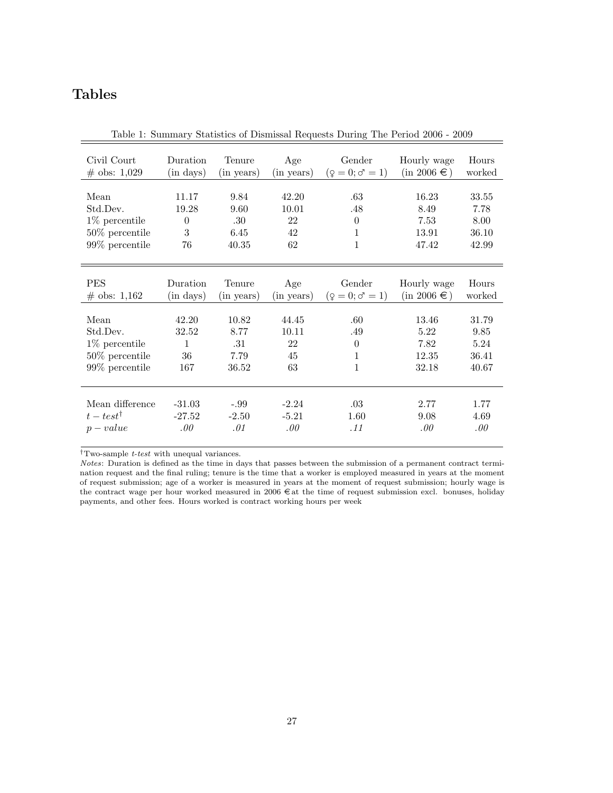# Tables

| Civil Court          | Duration  | Tenure     | Age        | Gender                      | Hourly wage      | Hours  |
|----------------------|-----------|------------|------------|-----------------------------|------------------|--------|
| $\#$ obs: 1,029      | (in days) | (in years) | (in years) | $(\varphi = 0; \sigma = 1)$ | $(in 2006 \in )$ | worked |
| Mean                 | 11.17     | 9.84       | 42.20      | .63                         | 16.23            | 33.55  |
| Std.Dev.             | 19.28     | 9.60       | 10.01      | .48                         | 8.49             | 7.78   |
| 1\% percentile       | $\theta$  | .30        | 22         | $\theta$                    | 7.53             | 8.00   |
| $50\%$ percentile    | 3         | 6.45       | 42         | 1                           | 13.91            | 36.10  |
| $99\%$ percentile    | 76        | 40.35      | 62         | 1                           | 47.42            | 42.99  |
| <b>PES</b>           | Duration  | Tenure     | Age        | Gender                      | Hourly wage      | Hours  |
| $\#$ obs: 1,162      | (in days) | (in years) | (in years) | $(\varphi = 0; \sigma = 1)$ | $(in 2006 \in )$ | worked |
| Mean                 | 42.20     | 10.82      | 44.45      | .60                         | 13.46            | 31.79  |
| Std.Dev.             | 32.52     | 8.77       | 10.11      | .49                         | 5.22             | 9.85   |
| $1\%$ percentile     | 1         | .31        | 22         | $\theta$                    | 7.82             | 5.24   |
| $50\%$ percentile    | 36        | 7.79       | 45         | 1                           | 12.35            | 36.41  |
| $99\%$ percentile    | 167       | 36.52      | 63         | 1                           | 32.18            | 40.67  |
| Mean difference      | $-31.03$  | $-.99$     | $-2.24$    | .03                         | 2.77             | 1.77   |
| $t - test^{\dagger}$ | $-27.52$  | $-2.50$    | $-5.21$    | 1.60                        | 9.08             | 4.69   |
| $p-value$            | .00.      | .01        | .00.       | .11                         | .00.             | .00.   |

Table 1: Summary Statistics of Dismissal Requests During The Period 2006 - 2009

 $^\dagger\text{T}$  wo-sample  $t\text{-}test$  with unequal variances.

Notes: Duration is defined as the time in days that passes between the submission of a permanent contract termination request and the final ruling; tenure is the time that a worker is employed measured in years at the moment of request submission; age of a worker is measured in years at the moment of request submission; hourly wage is the contract wage per hour worked measured in  $2006 \in \text{at}$  the time of request submission excl. bonuses, holiday payments, and other fees. Hours worked is contract working hours per week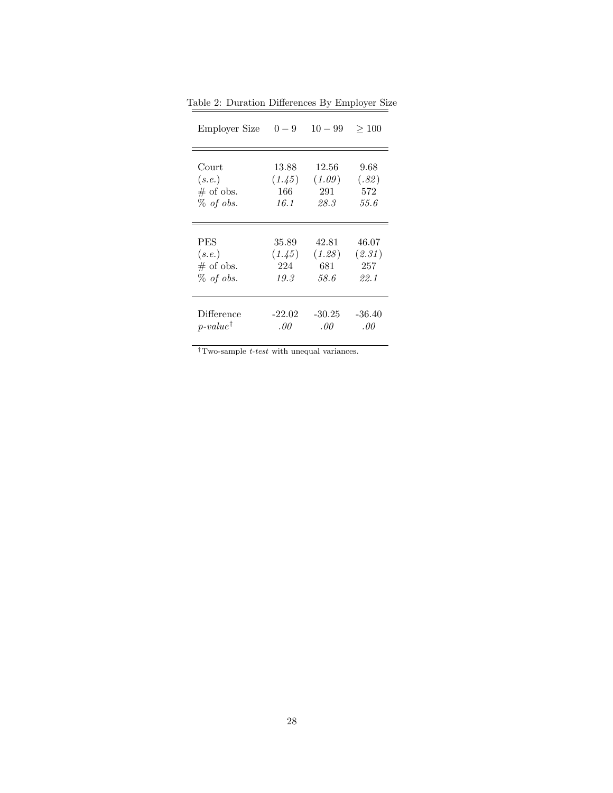| Employer Size       | $0 - 9$  | $10 - 99$ | >100     |
|---------------------|----------|-----------|----------|
| Court               | 13.88    | 12.56     | 9.68     |
| (s.e.)              | (1.45)   | (1.09)    | (.82)    |
| $\#$ of obs.        | 166      | 291       | 572      |
| $\%$ of obs.        | 16.1     | 28.3      | 55.6     |
| <b>PES</b>          | 35.89    | 42.81     | 46.07    |
| (s.e.)              | (1.45)   | (1.28)    | (2.31)   |
| $\#$ of obs.        | 224      | 681       | 257      |
| $%$ of obs.         | 19.3     | 58.6      | 22.1     |
| Difference          | $-22.02$ | $-30.25$  | $-36.40$ |
| $p-value^{\dagger}$ | .00.     | .00       | .00      |

Table 2: Duration Differences By Employer Size

 $^\dagger$  Two-sample *t-test* with unequal variances.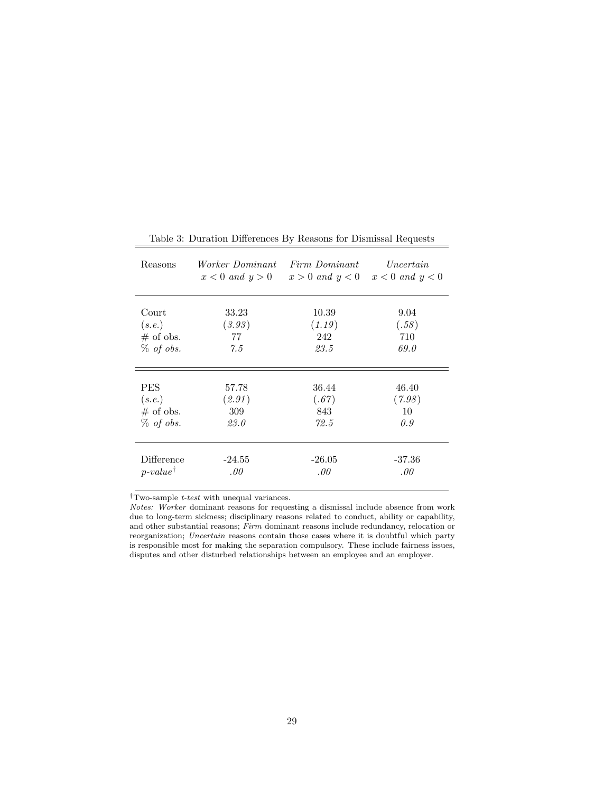| Reasons             | <i>Worker Dominant</i> | Firm Dominant<br>$x < 0$ and $y > 0$ $x > 0$ and $y < 0$ $x < 0$ and $y < 0$ | Uncertain |
|---------------------|------------------------|------------------------------------------------------------------------------|-----------|
| Court               | 33.23                  | 10.39                                                                        | 9.04      |
| (s.e.)              | (3.93)                 | (1.19)                                                                       | (.58)     |
| $#$ of obs.         | 77                     | 242                                                                          | 710       |
| $%$ of obs.         | 7.5                    | 23.5                                                                         | 69.0      |
| <b>PES</b>          | 57.78                  | 36.44                                                                        | 46.40     |
| (s.e.)              | (2.91)                 | (.67)                                                                        | (7.98)    |
| $#$ of obs.         | 309                    | 843                                                                          | 10        |
| $%$ of obs.         | 23.0                   | 72.5                                                                         | 0.9       |
| Difference          | $-24.55$               | $-26.05$                                                                     | $-37.36$  |
| $p-value^{\dagger}$ | .00.                   | .00.                                                                         | .00       |

Table 3: Duration Differences By Reasons for Dismissal Requests

 $^\dagger \mathrm{T}$  wo-sample  $\emph{t-test}$  with unequal variances.

Notes: Worker dominant reasons for requesting a dismissal include absence from work due to long-term sickness; disciplinary reasons related to conduct, ability or capability, and other substantial reasons; Firm dominant reasons include redundancy, relocation or reorganization; Uncertain reasons contain those cases where it is doubtful which party is responsible most for making the separation compulsory. These include fairness issues, disputes and other disturbed relationships between an employee and an employer.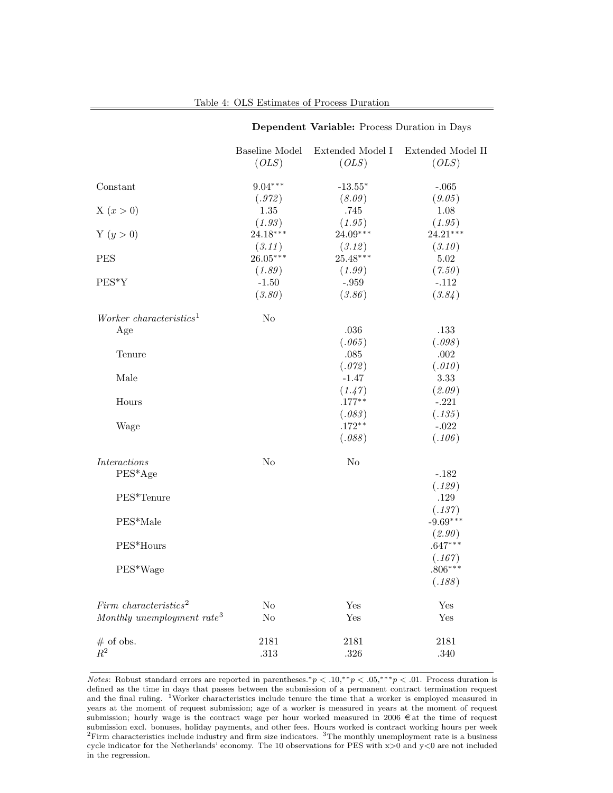|                                                                                                          |                                | <b>Dependent variable:</b> Flocess Duration in Days |                                                                                                           |
|----------------------------------------------------------------------------------------------------------|--------------------------------|-----------------------------------------------------|-----------------------------------------------------------------------------------------------------------|
|                                                                                                          | <b>Baseline Model</b><br>(OLS) | Extended Model I<br>(OLS)                           | Extended Model II<br>(OLS)                                                                                |
| Constant                                                                                                 | $9.04***$                      | $-13.55*$                                           | $-.065$                                                                                                   |
| X(x>0)                                                                                                   | (.972)<br>1.35                 | (8.09)<br>.745                                      | (9.05)<br>1.08                                                                                            |
| Y $(y > 0)$                                                                                              | (1.93)<br>24.18***             | (1.95)<br>24.09***                                  | (1.95)<br>$24.21***$<br>(3.10)                                                                            |
| <b>PES</b>                                                                                               | (3.11)<br>$26.05***$           | (3.12)<br>$25.48***$<br>(1.99)                      | $5.02\,$<br>(7.50)                                                                                        |
| PES*Y                                                                                                    | (1.89)<br>$-1.50$<br>(3.80)    | $-.959$<br>(3.86)                                   | $-.112$<br>(3.84)                                                                                         |
| Worker characteristics <sup>1</sup><br>Age<br>Tenure                                                     | N <sub>o</sub>                 | $.036\,$<br>(.065)<br>$.085\,$<br>(.072)            | .133<br>(.098)<br>$.002\,$<br>(.010)                                                                      |
| Male<br>Hours                                                                                            |                                | $-1.47$<br>(1.47)<br>$.177***$                      | 3.33<br>(2.09)<br>$-.221$                                                                                 |
| Wage                                                                                                     |                                | (.083)<br>$.172**$<br>(.088)                        | (.135)<br>$-.022$<br>(.106)                                                                               |
| $\label{thm:interactions} Interactions$<br>$PES^*Age$<br>PES*Tenure<br>PES*Male<br>PES*Hours<br>PES*Wage | N <sub>o</sub>                 | N <sub>o</sub>                                      | $-.182$<br>(.129)<br>.129<br>(.137)<br>$-9.69***$<br>(2.90)<br>$.647***$<br>(.167)<br>$.806***$<br>(.188) |
| Firm characteristics <sup>2</sup><br>Monthly unemployment rate <sup>3</sup>                              | $\rm No$<br>$\rm No$           | Yes<br>Yes                                          | Yes<br>Yes                                                                                                |
| $#$ of obs.<br>$\mathbb{R}^2$                                                                            | 2181<br>.313                   | 2181<br>$.326\,$                                    | 2181<br>.340                                                                                              |

## Dependent Variable: Process Duration in Days

Notes: Robust standard errors are reported in parentheses.<sup>\*</sup> $p < .10,$ <sup>\*\*</sup> $p < .05,$ \*\*\* $p < .01$ . Process duration is defined as the time in days that passes between the submission of a permanent contract termination request and the final ruling. <sup>1</sup>Worker characteristics include tenure the time that a worker is employed measured in years at the moment of request submission; age of a worker is measured in years at the moment of request submission; hourly wage is the contract wage per hour worked measured in  $2006 \epsilon$  at the time of request submission excl. bonuses, holiday payments, and other fees. Hours worked is contract working hours per week  ${}^{2}$ Firm characteristics include industry and firm size indicators.  ${}^{3}$ The monthly unemployment rate is a business cycle indicator for the Netherlands' economy. The 10 observations for PES with  $x>0$  and  $y<0$  are not included in the regression.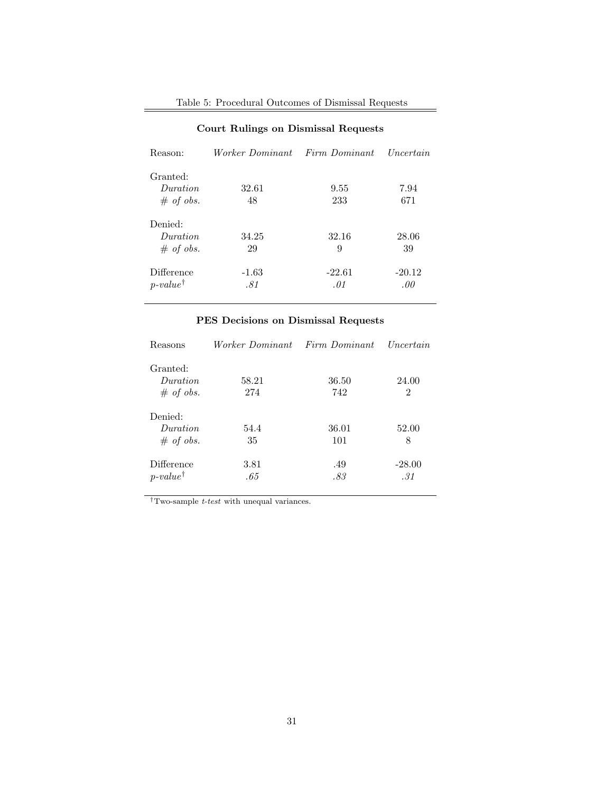| Table 5: Procedural Outcomes of Dismissal Requests |  |  |
|----------------------------------------------------|--|--|
|                                                    |  |  |

| Reason:                                  | Worker Dominant Firm Dominant |                 | Uncertain       |
|------------------------------------------|-------------------------------|-----------------|-----------------|
| Granted:<br><i>Duration</i><br># of obs. | 32.61<br>48                   | 9.55<br>233     | 7.94<br>671     |
| Denied:<br><i>Duration</i><br># of obs.  | 34.25<br>29                   | 32.16<br>9      | 28.06<br>39     |
| Difference<br>$p-value^{\dagger}$        | $-1.63$<br>.81                | $-22.61$<br>.01 | $-20.12$<br>.00 |

## Court Rulings on Dismissal Requests

## PES Decisions on Dismissal Requests

| Reasons                                  | <i>Worker Dominant</i> | Firm Dominant | Uncertain       |
|------------------------------------------|------------------------|---------------|-----------------|
| Granted:<br><i>Duration</i><br># of obs. | 58.21<br>274           | 36.50<br>742  | 24.00<br>2      |
| Denied:<br><i>Duration</i><br># of obs.  | 54.4<br>35             | 36.01<br>101  | 52.00<br>8      |
| Difference<br>$p-value^{\dagger}$        | 3.81<br>.65            | .49<br>.83    | $-28.00$<br>.31 |

 $\mathsf{T}_{\text{Two-sample }t\text{-}test}$  with unequal variances.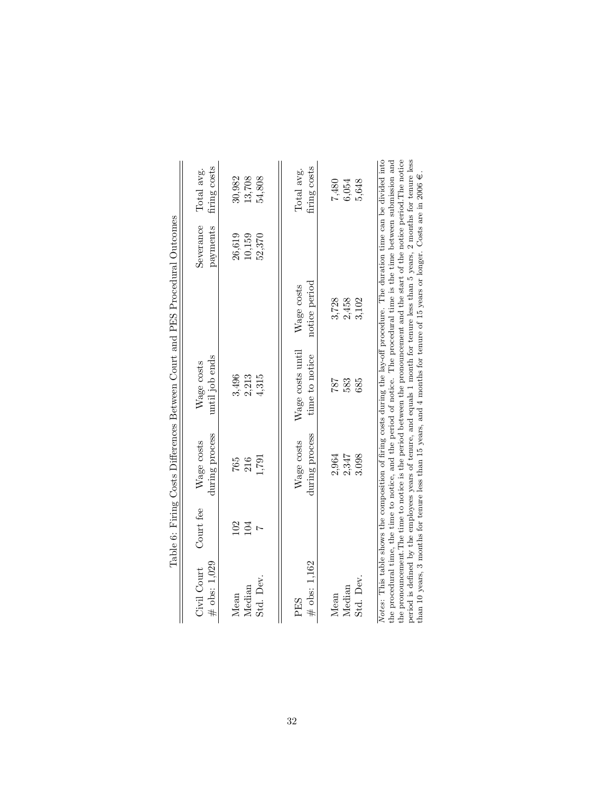|                                |            |                              | Table 6: Firing Costs Differences Between Court and PES Procedural Outcomes                                                                                                                                                                                                                                                                                                                                                                                                                                                                                                                                                                                  |                             |                            |                            |
|--------------------------------|------------|------------------------------|--------------------------------------------------------------------------------------------------------------------------------------------------------------------------------------------------------------------------------------------------------------------------------------------------------------------------------------------------------------------------------------------------------------------------------------------------------------------------------------------------------------------------------------------------------------------------------------------------------------------------------------------------------------|-----------------------------|----------------------------|----------------------------|
| $\#$ obs: 1,029<br>Civil Court | Court fee  | during process<br>Wage costs | until job ends<br>Wage costs                                                                                                                                                                                                                                                                                                                                                                                                                                                                                                                                                                                                                                 |                             | Severance<br>payments      | firing costs<br>Total avg. |
| Std. Dev.<br>Median<br>Mean    | 102<br>104 | 1,791<br>216<br>765          | 3,496<br>2,213<br>4,315                                                                                                                                                                                                                                                                                                                                                                                                                                                                                                                                                                                                                                      |                             | 26,619<br>10,159<br>52,370 | 30,982<br>13,708<br>54,808 |
| $#$ obs: 1,162<br>PES          |            | during process<br>Wage costs | Wage costs until<br>time to notice                                                                                                                                                                                                                                                                                                                                                                                                                                                                                                                                                                                                                           | notice period<br>Wage costs |                            | firing costs<br>Total avg. |
| Std. Dev.<br>Median<br>Mean    |            | 2,964<br>2,347<br>3.098      | 787<br>583<br>685                                                                                                                                                                                                                                                                                                                                                                                                                                                                                                                                                                                                                                            | 3,728<br>2,458<br>3,102     |                            | 5,648<br>7,480<br>6,054    |
|                                |            |                              | Notes: This table shows the composition of firing costs during the lay-off procedure. The duration time can be divided into<br>the pronouncement. The time to notice is the period between the pronouncement and the start of the notice period. The notice<br>period is defined by the employees years of tenure, and equals 1 month for tenure less than 5 years, 2 months for tenure less<br>the procedural time, the time to notice, and the period of notice. The procedural time is the time between submission and<br>than 10 years, 3 months for tenure less than 15 years, and 4 months for tenure of 15 years or longer. Costs are in 2006 $\in$ . |                             |                            |                            |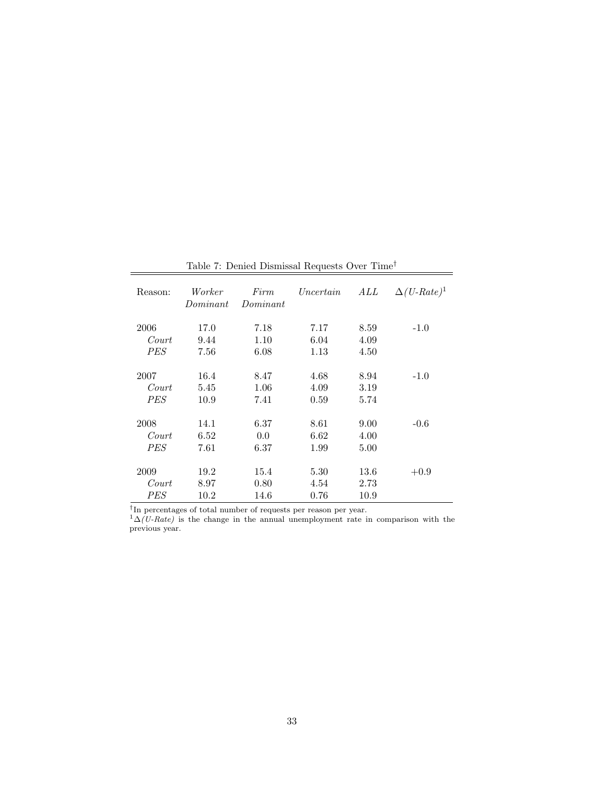| Reason:          | Worker<br>Dominant | Firm<br>Dominant | Uncertain | ALL  | $\Delta(U\text{-}Rate)^1$ |
|------------------|--------------------|------------------|-----------|------|---------------------------|
| 2006             | 17.0               | 7.18             | 7.17      | 8.59 | $-1.0$                    |
| Court            | 9.44               | 1.10             | 6.04      | 4.09 |                           |
| <i>PES</i>       | 7.56               | 6.08             | 1.13      | 4.50 |                           |
| 2007             | 16.4               | 8.47             | 4.68      | 8.94 | $-1.0$                    |
| $\mathit{Court}$ | 5.45               | 1.06             | 4.09      | 3.19 |                           |
| <i>PES</i>       | 10.9               | 7.41             | 0.59      | 5.74 | $-0.6$                    |
| 2008             | 14.1               | 6.37             | 8.61      | 9.00 |                           |
| Court            | 6.52               | 0.0              | 6.62      | 4.00 |                           |
| <i>PES</i>       | 7.61               | 6.37             | 1.99      | 5.00 |                           |
| 2009             | 19.2               | 15.4             | 5.30      | 13.6 | $+0.9$                    |
| $\it Court$      | 8.97               | 0.80             | 4.54      | 2.73 |                           |
| <b>PES</b>       | 10.2               | 14.6             | 0.76      | 10.9 |                           |

Table 7: Denied Dismissal Requests Over $\mathrm{Time}^{\dagger}$ 

† In percentages of total number of requests per reason per year.

 $1\Delta(U-Rate)$  is the change in the annual unemployment rate in comparison with the previous year.